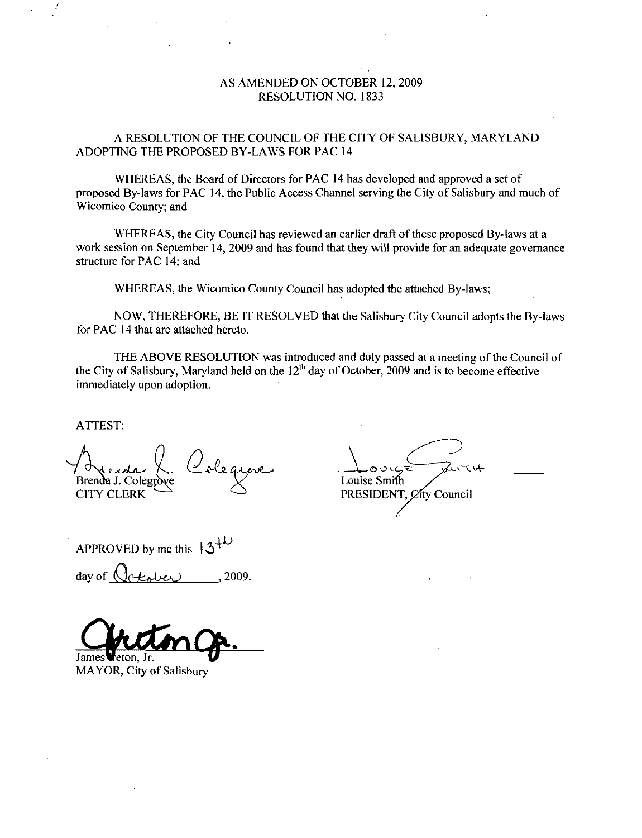# AS AMENDED ON OCTOBER 12, 2009 RESOLUTION NO. 1833

A RESOLUTION OF THE COUNCIL OF THE CITY OF SALISBURY, MARYLAND ADOPTING THE PROPOSED BY-LAWS FOR PAC 14

WHEREAS the Board of Directors for PAC <sup>14</sup> has developed and approved a set of proposed By-laws for PAC 14, the Public Access Channel serving the City of Salisbury and much of Wicomico County; and

WHEREAS, the City Council has reviewed an earlier draft of these proposed By-laws at a work session on September 14, 2009 and has found that they will provide for an adequate governance structure for PAC 14; and

WHEREAS, the Wicomico County Council has adopted the attached By-laws;

NOW, THEREFORE, BE IT RESOLVED that the Salisbury City Council adopts the By-laws for PAC 14 that are attached hereto

THE ABOVE RESOLUTION was introduced and duly passed at a meeting of the Council of the City of Salisbury, Maryland held on the  $12<sup>th</sup>$  day of October, 2009 and is to become effective immediately upon adoption

ATTEST

Brenda J. Colegrove de la Colegrave Louise Smi  $CITY$  CLERK PRESIDENT,  $\varphi$  ty Council Brenda J. Colegrove<br>CITY CLERK<br>APPROVED by me this  $13^{+\nu}$ <br>day of  $Q$ ctober ... 2009.

 $\sum$  $\frac{1}{\frac{0.025}{0.45}}$ 

APPROVED by me this  $\frac{3^+}{3^-}$ <br>day of  $\bigcirc$   $\bigcirc$   $\bigcirc$   $\bigcirc$   $\bigcirc$   $\bigcirc$   $\bigcirc$   $\bigcirc$   $\bigcirc$   $\bigcirc$   $\bigcirc$   $\bigcirc$   $\bigcirc$   $\bigcirc$   $\bigcirc$   $\bigcirc$   $\bigcirc$   $\bigcirc$   $\bigcirc$   $\bigcirc$   $\bigcirc$   $\bigcirc$   $\bigcirc$   $\bigcirc$   $\bigcirc$   $\bigcirc$   $\bigcirc$   $\bigcirc$   $\bigcirc$   $\bigcirc$ 

James

MAYOR, City of Salisbury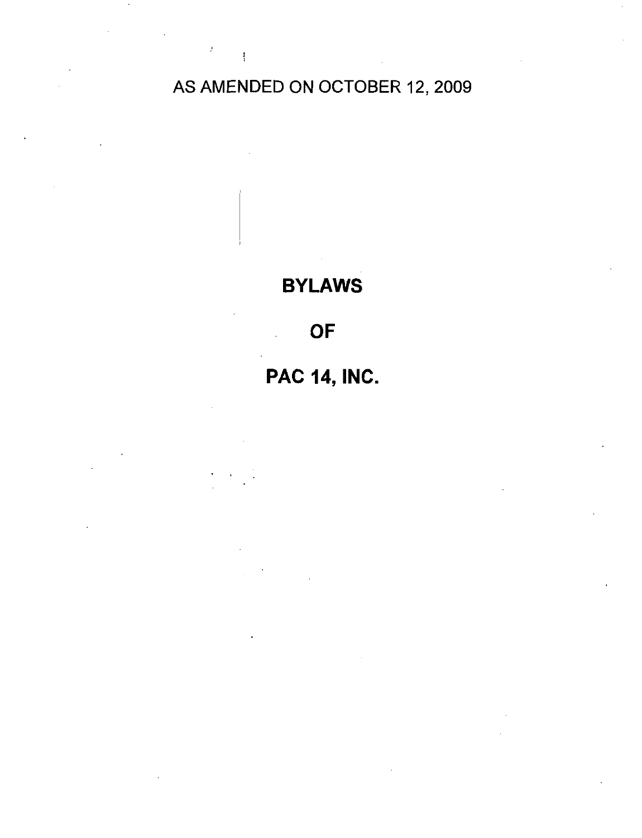# AS AMENDED ON OCTOBER 12, 2009

 $\mathcal{I}=\mathcal{I}$ 

# BYLAWS

# OF

# **PAC 14, INC.**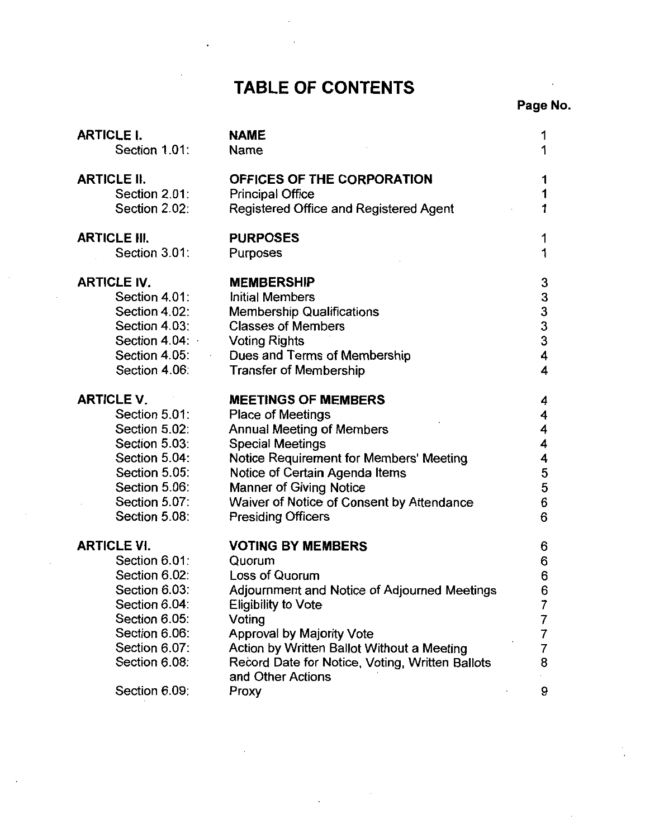# TABLE OF CONTENTS

# Page No

| <b>ARTICLE I.</b>   | <b>NAME</b>                                     | 1                                          |
|---------------------|-------------------------------------------------|--------------------------------------------|
| Section 1.01:       | Name                                            | 1                                          |
| <b>ARTICLE II.</b>  | OFFICES OF THE CORPORATION                      | 1                                          |
| Section 2.01:       | <b>Principal Office</b>                         | 1                                          |
| Section 2.02:       | Registered Office and Registered Agent          |                                            |
|                     |                                                 |                                            |
| <b>ARTICLE III.</b> | <b>PURPOSES</b>                                 | 1                                          |
| Section 3.01:       | Purposes                                        | 1                                          |
|                     |                                                 |                                            |
| <b>ARTICLE IV.</b>  | <b>MEMBERSHIP</b>                               | 3                                          |
| Section 4.01:       | <b>Initial Members</b>                          | $\begin{array}{c} 3 \\ 3 \\ 3 \end{array}$ |
| Section 4.02:       | <b>Membership Qualifications</b>                |                                            |
| Section 4.03:       | <b>Classes of Members</b>                       |                                            |
| Section 4.04:       | <b>Voting Rights</b>                            |                                            |
| Section 4.05:       | Dues and Terms of Membership                    | 4                                          |
| Section 4.06:       | <b>Transfer of Membership</b>                   | 4                                          |
| <b>ARTICLE V.</b>   | <b>MEETINGS OF MEMBERS</b>                      | 4                                          |
| Section 5.01:       | Place of Meetings                               | 4                                          |
| Section 5.02:       | <b>Annual Meeting of Members</b>                | 4                                          |
| Section 5.03:       | <b>Special Meetings</b>                         | 4                                          |
| Section 5.04:       | Notice Requirement for Members' Meeting         | 4                                          |
| Section 5.05:       | Notice of Certain Agenda Items                  | 5                                          |
|                     |                                                 | 5                                          |
| Section 5.06:       | <b>Manner of Giving Notice</b>                  |                                            |
| Section 5.07:       | Waiver of Notice of Consent by Attendance       | 6                                          |
| Section 5.08:       | <b>Presiding Officers</b>                       | 6                                          |
| <b>ARTICLE VI.</b>  | <b>VOTING BY MEMBERS</b>                        | 6                                          |
| Section 6.01:       | Quorum                                          | 6                                          |
| Section 6.02:       | Loss of Quorum                                  | 6                                          |
| Section 6.03:       | Adjournment and Notice of Adjourned Meetings    | 6                                          |
| Section 6.04:       | <b>Eligibility to Vote</b>                      | 7                                          |
| Section 6.05:       | Voting                                          | 7                                          |
| Section 6.06:       | Approval by Majority Vote                       | 7                                          |
| Section 6.07:       | Action by Written Ballot Without a Meeting      | 7                                          |
| Section 6.08:       | Record Date for Notice, Voting, Written Ballots | 8                                          |
|                     | and Other Actions                               |                                            |
| Section 6.09:       | Proxy                                           | 9                                          |
|                     |                                                 |                                            |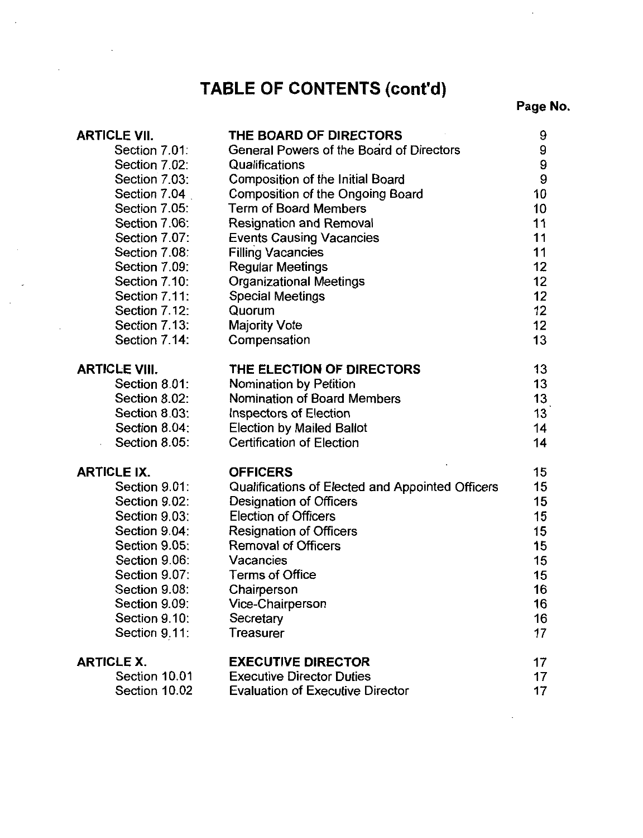# TABLE OF CONTENTS (cont'd)

Page No

| <b>ARTICLE VII.</b>  | THE BOARD OF DIRECTORS                           | 9                |
|----------------------|--------------------------------------------------|------------------|
| Section 7.01:        | <b>General Powers of the Board of Directors</b>  | 9                |
| Section 7.02:        | Qualifications                                   | $\boldsymbol{9}$ |
| Section 7.03:        | <b>Composition of the Initial Board</b>          | 9                |
| Section 7.04         | Composition of the Ongoing Board                 | 10               |
| Section 7.05:        | <b>Term of Board Members</b>                     | 10               |
| Section 7.06:        | <b>Resignation and Removal</b>                   | 11               |
| Section 7.07:        | <b>Events Causing Vacancies</b>                  | 11               |
| Section 7.08:        | <b>Filling Vacancies</b>                         | 11               |
| Section 7.09:        | <b>Regular Meetings</b>                          | 12               |
| Section 7.10:        | <b>Organizational Meetings</b>                   | 12               |
| Section 7.11:        | <b>Special Meetings</b>                          | 12               |
| Section 7.12:        | Quorum                                           | 12               |
| Section 7.13:        | <b>Majority Vote</b>                             | 12               |
| Section 7.14:        | Compensation                                     | 13               |
| <b>ARTICLE VIII.</b> | THE ELECTION OF DIRECTORS                        | 13               |
| Section 8.01:        | Nomination by Petition                           | 13               |
| Section 8.02:        | Nomination of Board Members                      | 13               |
| Section 8.03:        | Inspectors of Election                           | 13               |
| Section 8.04:        | <b>Election by Mailed Ballot</b>                 | 14               |
| Section 8.05:        | <b>Certification of Election</b>                 | 14               |
| <b>ARTICLE IX.</b>   | <b>OFFICERS</b>                                  | 15               |
| Section 9.01:        | Qualifications of Elected and Appointed Officers | 15               |
| Section 9.02:        | Designation of Officers                          | 15               |
| Section 9.03:        | <b>Election of Officers</b>                      | 15               |
| Section 9.04:        | <b>Resignation of Officers</b>                   | 15               |
| Section 9.05:        | <b>Removal of Officers</b>                       | 15 <sub>15</sub> |
| Section 9.06:        | Vacancies                                        | 15               |
| Section 9.07:        | <b>Terms of Office</b>                           | 15               |
| Section 9.08:        | Chairperson                                      | 16               |
| Section 9.09:        | Vice-Chairperson                                 | 16               |
| Section 9.10:        | Secretary                                        | 16               |
| Section 9.11:        | <b>Treasurer</b>                                 | 17               |
| <b>ARTICLE X.</b>    | <b>EXECUTIVE DIRECTOR</b>                        | 17               |
| Section 10.01        | <b>Executive Director Duties</b>                 | 17               |
| Section 10.02        | <b>Evaluation of Executive Director</b>          | 17               |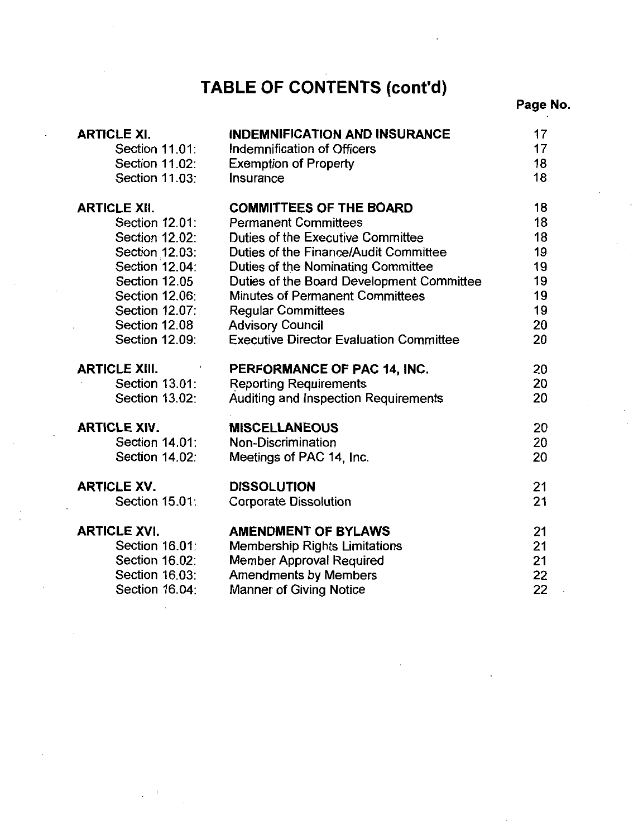# TABLE OF CONTENTS (cont'd)

# Page No

| <b>ARTICLE XI.</b>    | <b>INDEMNIFICATION AND INSURANCE</b>                            | 17       |
|-----------------------|-----------------------------------------------------------------|----------|
| Section 11.01:        | Indemnification of Officers                                     | 17       |
| Section 11.02:        | <b>Exemption of Property</b>                                    | 18       |
| Section 11.03:        | Insurance                                                       | 18       |
| <b>ARTICLE XII.</b>   | <b>COMMITTEES OF THE BOARD</b>                                  | 18       |
| Section 12.01:        | <b>Permanent Committees</b>                                     | 18       |
| Section 12.02:        | Duties of the Executive Committee                               | 18       |
| Section 12.03:        | Duties of the Finance/Audit Committee                           | 19       |
| Section 12.04:        | Duties of the Nominating Committee                              | 19       |
| Section 12.05         | Duties of the Board Development Committee                       | 19       |
| Section 12.06:        | <b>Minutes of Permanent Committees</b>                          | 19       |
| <b>Section 12.07:</b> | <b>Regular Committees</b>                                       | 19       |
| Section 12.08         | <b>Advisory Council</b>                                         | 20       |
| Section 12.09.        | <b>Executive Director Evaluation Committee</b>                  | 20       |
| <b>ARTICLE XIII.</b>  | PERFORMANCE OF PAC 14, INC.                                     | 20       |
|                       |                                                                 |          |
| Section 13.01:        | <b>Reporting Requirements</b>                                   | 20       |
| Section 13.02:        | Auditing and Inspection Requirements                            | 20       |
| <b>ARTICLE XIV.</b>   | <b>MISCELLANEOUS</b>                                            | 20       |
| <b>Section 14.01:</b> | Non-Discrimination                                              | 20       |
| Section 14.02:        | Meetings of PAC 14, Inc.                                        | 20       |
| <b>ARTICLE XV.</b>    | <b>DISSOLUTION</b>                                              |          |
| Section 15.01:        | <b>Corporate Dissolution</b>                                    | 21<br>21 |
| <b>ARTICLE XVI.</b>   |                                                                 |          |
| Section 16.01:        | <b>AMENDMENT OF BYLAWS</b>                                      | 21<br>21 |
| <b>Section 16.02:</b> | <b>Membership Rights Limitations</b>                            |          |
| Section 16.03:        | <b>Member Approval Required</b><br><b>Amendments by Members</b> | 21<br>22 |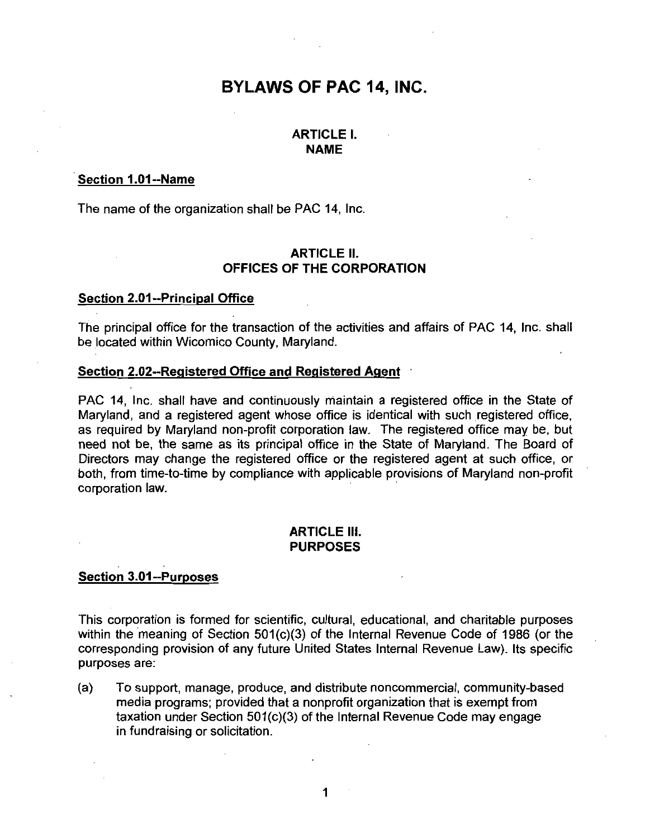# BYLAWS OF PAC 14, INC.

# ARTICLE I NAME

# **Section 1.01--Name**<br>The name of the orga

The name of the organization shall be PAC 14, Inc.

# **ARTICLE II.** OFFICES OF THE CORPORATION

The name of the organization s<br>OFFI<br>Section 2.01--Principal Office<br>The principal office for the tran The principal office for the transaction of the activities and affairs of PAC 14, Inc. shall be located within Wicomico County, Maryland.

ARTICLE II.<br>
Section 2.01--Principal Office<br>
The principal office for the transaction of the activities and<br>
be located within Wicomico County, Maryland.<br>
Section 2.02--Registered Office and Registered Agent<br>
PAC 14, Inc. PAC 14, Inc. shall have and continuously maintain a registered office in the State of Maryland, and a registered agent whose office is identical with such registered office. as required by Maryland non-profit corporation law. The registered office may be, but need not be, the same as its principal office in the State of Maryland. The Board of Directors may change the registered office or the registered agent at such office, or both, from time-to-time by compliance with applicable provisions of Maryland non-profit Maryland, and a registered agent whose office is identical with such registered office, as required by Maryland non-profit corporation law. The registered office may be, but need not be, the same as its principal office in corporation law Directors may change the<br>both, from time-to-time b<br>corporation law.<br>Section 3.01--Purposes

# **ARTICLE III.** PURPOSES

This corporation is formed for scientific, cultural, educational, and charitable purposes within the meaning of Section  $501(c)(3)$  of the Internal Revenue Code of 1986 (or the Section 3.01--Purposes<br>
This corporation is formed for scientific, cultural, educational, and charitable purposes<br>
within the meaning of Section 501(c)(3) of the Internal Revenue Code of 1986 (or the<br>
corresponding provis purposes are

(a) To support, manage, produce, and distribute noncommercial, community-based media programs; provided that a nonprofit organization that is exempt from<br>taxation under Section 501(c)(3) of the Internal Revenue Code may engage in fundraising or solicitation

1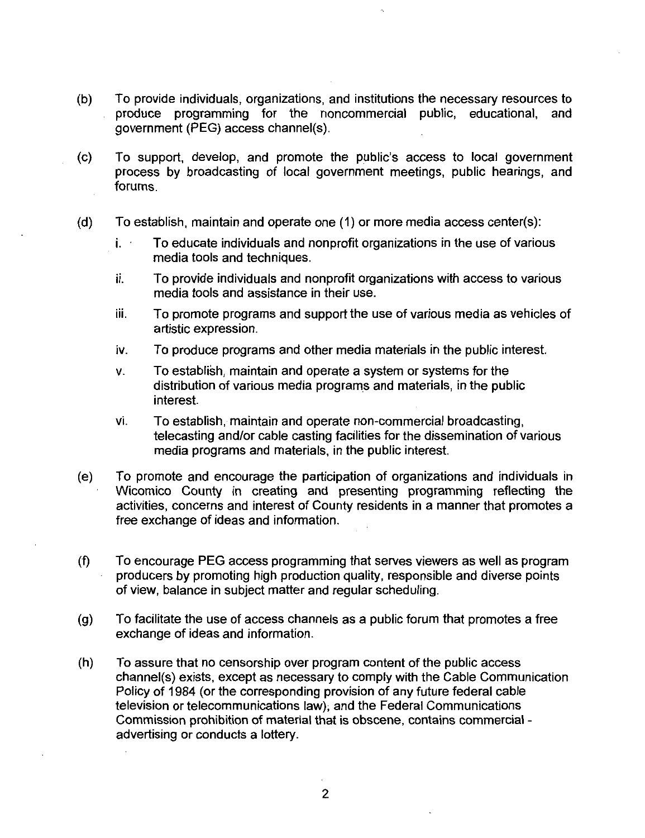- b To provide individuals organizations and institutions the necessary resources to produce programming for the noncommercial public, educational, and<br>government (PEG) access channel(s).<br>(c) To support, develop, and promote the public's access to local government<br>process by broadcasting of local governmen government (PEG) access channel(s).
- process by broadcasting of local government meetings, public hearings, and forums (c) To support, develop, and promote the public's access to local government<br>process by broadcasting of local government meetings, public hearings, and<br>forums.<br>(d) To establish, maintain and operate one (1) or more media
- - To educate individuals and nonprofit organizations in the use of various media tools and techniques
	- ii. To provide individuals and nonprofit organizations with access to various media tools and assistance in their use
	- iii. To promote programs and support the use of various media as vehicles of artistic expression
	- iv. To produce programs and other media materials in the public interest.
	- $v<sub>r</sub>$  To establish, maintain and operate a system or systems for the distribution of various media programs and materials in the public interest
	- vi. To establish, maintain and operate non-commercial broadcasting, telecasting and/or cable casting facilities for the dissemination of various media programs and materials, in the public interest.
- (e) To promote and encourage the participation of organizations and individuals in Wicomico County in creating and presenting programming reflecting the activities, concerns and interest of County residents in a manner that promotes a free exchange of ideas and information
- $f$  To encourage PEG access programming that serves viewers as well as program producers by promoting high production quality, responsible and diverse points of view, balance in subject matter and regular scheduling.
- $(g)$  To facilitate the use of access channels as a public forum that promotes a free exchange of ideas and information
- $(h)$  To assure that no censorship over program content of the public access channel(s) exists, except as necessary to comply with the Cable Communication Policy of 1984 (or the corresponding provision of any future federal cable television or telecommunications law), and the Federal Communications Commission prohibition of material that is obscene, contains commercial advertising or conducts <sup>a</sup> lottery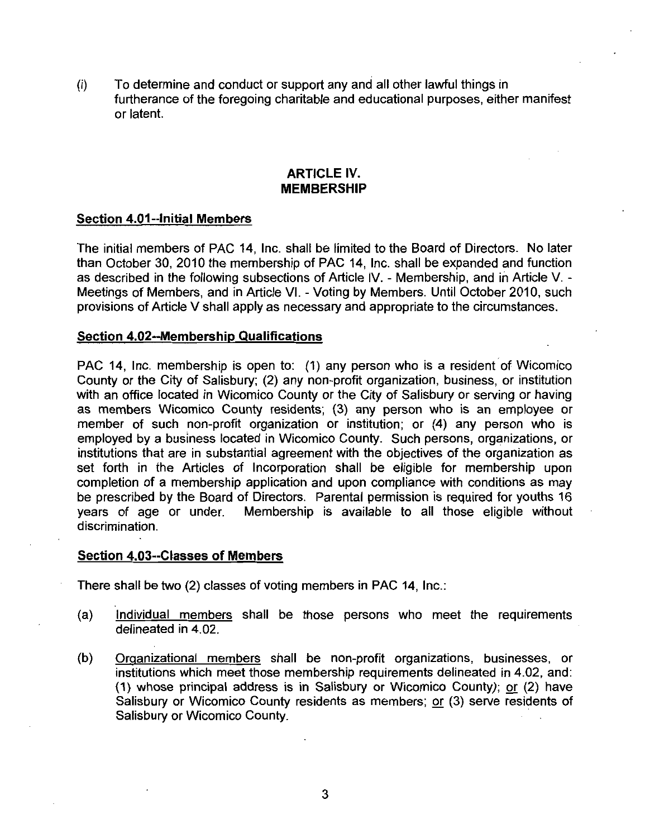To determine and conduct or support any and all other lawful things in  $(i)$ furtherance of the foregoing charitable and educational purposes, either manifest or latent

# ARTICLE IV MEMBERSHIP

# Section 4.01--initial Members

The initial members of PAC 14 Inc shall be limited to the Board of Directors No later than October 30, 2010 the membership of PAC 14, Inc. shall be expanded and function as described in the following subsections of Article IV. - Membership, and in Article V. -Meetings of Members, and in Article VI. - Voting by Members. Until October 2010, such provisions of Article V shall apply as necessary and appropriate to the circumstances MEMB<br>
Section 4.01--Initial Members<br>
The initial members of PAC 14, Inc. shall t<br>
than October 30, 2010 the membership of las<br>
described in the following subsections of<br>
Meetings of Members, and in Article VI. - V<br>
provisi

PAC 14, Inc. membership is open to:  $(1)$  any person who is a resident of Wicomico County or the City of Salisbury; (2) any non-profit organization, business, or institution with an office located in Wicomico County or the City of Salisbury or serving or having as members Wicomico County residents; (3) any person who is an employee or member of such non-profit organization or institution; or  $(4)$  any person who is employed by a business located in Wicomico County. Such persons, organizations, or institutions that are in substantial agreement with the objectives of the organization as set forth in the Articles of Incorporation shall be eligible for membership upon completion of <sup>a</sup> membership application and upon compliance with conditions as may be prescribed by the Board of Directors. Parental permission is required for youths 16 years of age or under. Membership is available to all those eligible without discrimination. employed by a business located in visitantial agset forth in the Articles of Incorprompletion of a membership application be prescribed by the Board of Direc years of age or under. Members discrimination.<br>Section 4.03--Cla

There shall be two  $(2)$  classes of voting members in PAC 14, Inc.:

- (a) Individual members shall be those persons who meet the requirements Individual member<br>delineated in 4.02.
- (b) Organizational members shall be non-profit organizations, businesses, or<br>institutions which meet those membership requirements delineated in 4.02, and:<br>(1) whose principal address is in Salisbury or Wicomico County); institutions which meet those membership requirements delineated in 4.02, and:<br>(1) whose principal address is in Salisbury or Wicomico County); or (2) have Salisbury or Wicomico County residents as members; or (3) serve residents of Salisbury or Wicomico County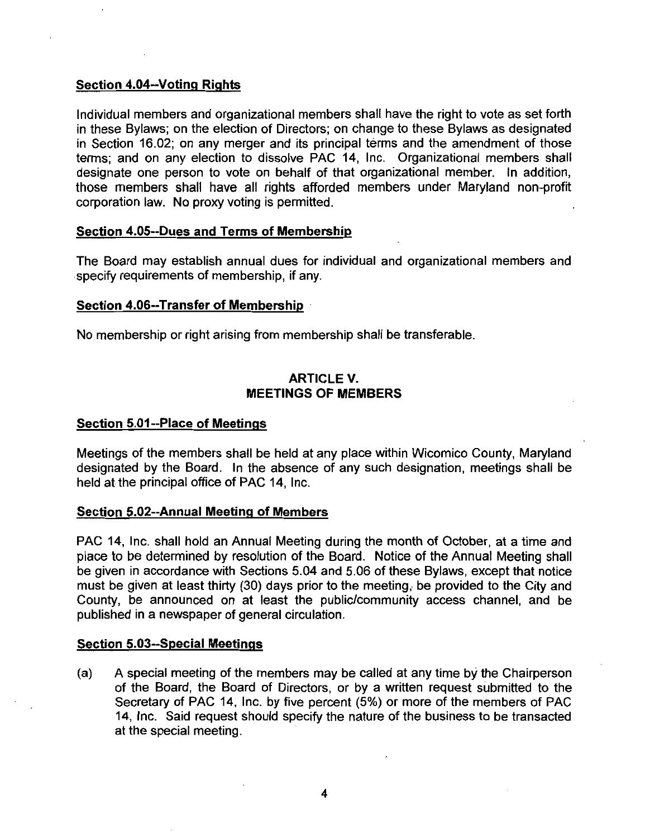# **Section 4.04--Voting Rights<br>Individual members and orga**

Individual members and organizational members shall have the right to vote as set forth in these Bylaws; on the election of Directors; on change to these Bylaws as designated in Section 16.02; on any merger and its principal terms and the amendment of those terms; and on any election to dissolve PAC 14, Inc. Organizational members shall designate one person to vote on behalf of that organizational member. In addition, those members shall have all rights afforded members under Maryland non profit corporation law. No proxy voting is permitted. in Section 16.02; on any merger and its princip<br>terms; and on any election to dissolve PAC 1<sup>4</sup><br>designate one person to vote on behalf of tha<br>those members shall have all rights afforded<br>corporation law. No proxy voting is those members shall have all rights<br>corporation law. No proxy voting is perm<br>Section 4.05--Dues and Terms of Mem<br>The Board may establish annual dues<br>specify requirements of membership, if a<br>Section 4.06--Transfer of Member

The Board may establish annual dues for individual and organizational members and specify requirements of membership, if any.

No membership or right arising from membership shall be transferable

# ARTICLE V MEETINGS OF MEMBERS

# No membership or right arising fro<br>ME<br>Section 5.01--Place of Meetings<br>Meetings of the members shall be

Meetings of the members shall be held at any place within Wicomico County, Maryland designated by the Board. In the absence of any such designation, meetings shall be held at the principal office of PAC 14, Inc. Section 5.01--Place of Meetings<br>Meetings of the members shall be held at are<br>designated by the Board. In the absence c<br>held at the principal office of PAC 14, Inc.<br>Section 5.02--Annual Meeting of Members<br>PAC 14, Inc. shall

PAC 14, Inc. shall hold an Annual Meeting during the month of October, at a time and place to be determined by resolution of the Board. Notice of the Annual Meeting shall PAC 14, Inc. shall hold an Annual Meeting during the month of October, at a time and<br>place to be determined by resolution of the Board. Notice of the Annual Meeting shall<br>be given in accordance with Sections 5.04 and 5.06 must be given at least thirty (30) days prior to the meeting, be provided to the City and County, be announced on at least the public/community access channel, and be published in a newspaper of general circulation. No. 14, met staat hold an Amda<br>place to be determined by resolution<br>be given in accordance with Section<br>Section 5.03--Special Meetings<br>Section 5.03--Special Meetings<br>(a) A special meeting of the m

(a) A special meeting of the members may be called at any time by the Chairperson A special meeting of the members may be called at any time by the Champerson<br>of the Board, the Board of Directors, or by a written request submitted to the<br>Secretary of PAC 14, Inc. by five percent (5%) or more of the memb 14, Inc. Said request should specify the nature of the business to be transacted at the special meeting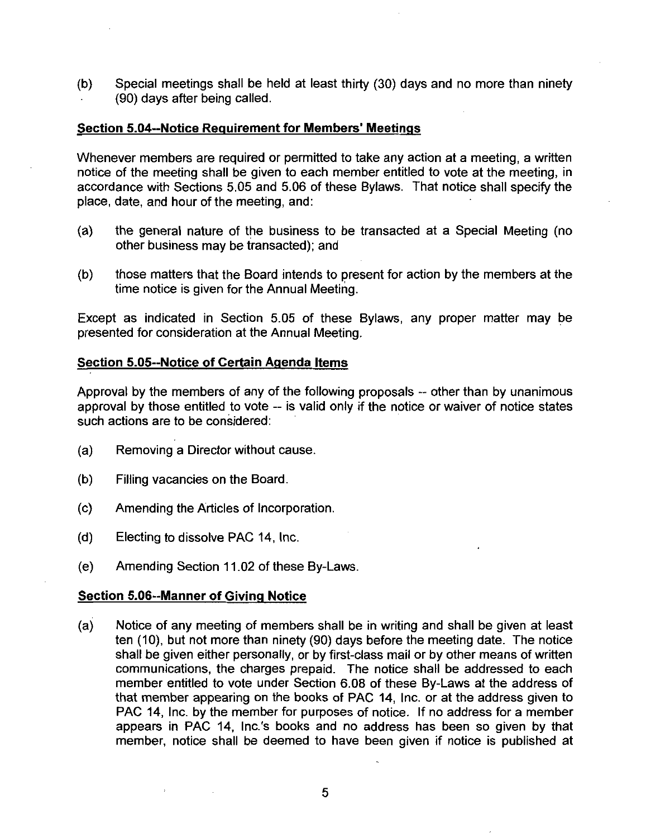(b) Special meetings shall be held at least thirty  $(30)$  days and no more than ninety 90 days after being called (b) Special meetings shall be held at least thirty (30) day<br>(90) days after being called.<br>Section 5.04--Notice Requirement for Members' Meetings<br>Whenever members are required or permitted to take any ad

Whenever members are required or permitted to take any action at a meeting, a written notice of the meeting shall be given to each member entitled to vote at the meeting, in Whenever members are required or permitted to take any action at a meeting, a written<br>notice of the meeting shall be given to each member entitled to vote at the meeting, in<br>accordance with Sections 5.05 and 5.06 of these place, date, and hour of the meeting, and:

- (a) the general nature of the business to be transacted at a Special Meeting (no other business may be transacted); and
- (b) those matters that the Board intends to present for action by the members at the time notice is given for the Annual Meeting (b) those matters that the Board intends to p<br>time notice is given for the Annual Meetin<br>Except as indicated in Section 5.05 of these<br>presented for consideration at the Annual Meetin<br>Section 5.05--Notice of Certain Agenda

Except as indicated in Section 5.05 of these Bylaws, any proper matter may be presented for consideration at the Annual Meeting

Approval by the members of any of the following proposals -- other than by unanimous approval by those entitled to vote  $-$  is valid only if the notice or waiver of notice states such actions are to be considered:

- (a) Removing a Director without cause.
- (b) Filling vacancies on the Board.
- (c) Amending the Articles of Incorporation.
- $(d)$  Electing to dissolve PAC 14, Inc.
- (e) Amending Section 11.02 of these By-Laws.

(c) Amending the Articles of Incorpora<br>
(d) Electing to dissolve PAC 14, Inc.<br>
(e) Amending Section 11.02 of these<br>
Section 5.06--Manner of Giving Notice<br>
(a) Notice of any meeting of member (a) Notice of any meeting of members shall be in writing and shall be given at least ten (10), but not more than ninety (90) days before the meeting date. The notice shall be given either personally, or by first-class mail or by other means of written communications, the charges prepaid. The notice shall be addressed to each shall be given either personally, or by first-class mail or by other means of written<br>communications, the charges prepaid. The notice shall be addressed to each<br>member entitled to vote under Section 6.08 of these By-Laws a that member appearing on the books of PAC 14, Inc. or at the address given to PAC 14, Inc. by the member for purposes of notice. If no address for a member appears in PAC 14, Inc.'s books and no address has been so given b PAC 14, Inc. by the member for purposes of notice. If no address for a member appears in PAC 14, Inc.'s books and no address has been so given by that member, notice shall be deemed to have been given if notice is published at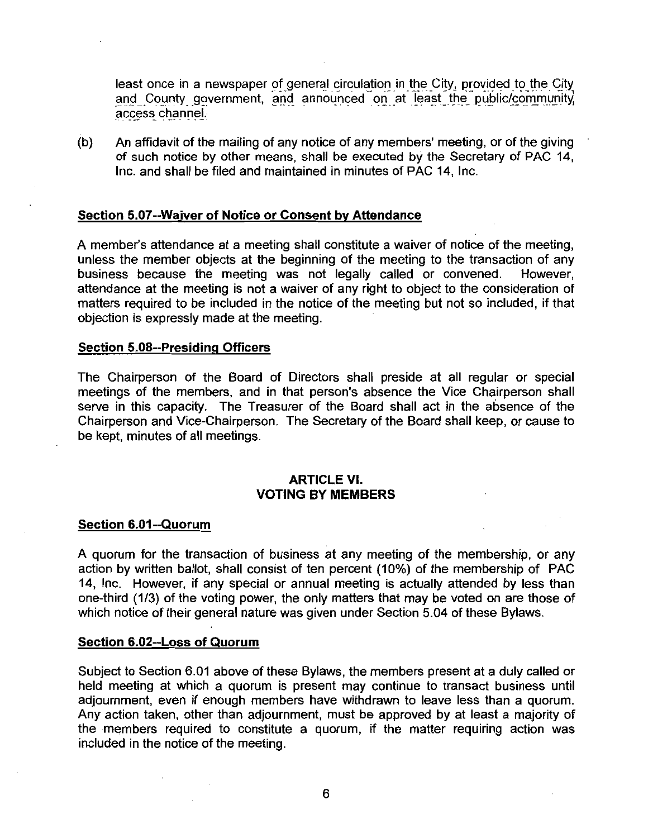least once in a newspaper of general circulation in the City, provided to the City and County government, and announced on at least the public/community access channel.

(b) An affidavit of the mailing of any notice of any members' meeting, or of the giving of such notice by other means, shall be executed by the Secretary of PAC 14, Inc. and shall be filed and maintained in minutes of PAC 14. Inc. Section 5.07-Waiver of Notice or Consent by Attendance<br>A member's attendance of such notice by other means, shall be executed by<br>Inc. and shall be filed and maintained in minutes of PA<br>Section 5.07-Waiver of Notice or Cons

Section 5.07--Waiver of Notice or Consent by Attendance<br>A member's attendance at a meeting shall constitute a waiver of notice of the meeting,<br>unless the member objects at the beginning of the meeting to the transaction of unless the member objects at the beginning of the meeting to the transaction of any business because the meeting was not legally called or convened. attendance at the meeting is not <sup>a</sup> waiver of any right to object to the consideration of matters required to be included in the notice of the meeting but not so included, if that objection is expressly made at the meeting A member's attendance at a mee<br>unless the member objects at the<br>business because the meeting<br>attendance at the meeting is not<br>matters required to be included in<br>objection is expressly made at the<br>**Section 5.08--Presiding O** 

The Chairperson of the Board of Directors shall preside at all regular or special meetings of the members, and in that person's absence the Vice Chairperson shall Section 5.08--Presiding Officers<br>The Chairperson of the Board of Directors shall preside at all regular or special<br>meetings of the members, and in that person's absence the Vice Chairperson shall<br>serve in this capacity. Th meetings of the members, and in that person's absence the Vice Chairperson shall serve in this capacity. The Treasurer of the Board shall act in the absence of the Chairperson and Vice-Chairperson. The Secretary of the Boa be kept, minutes of all meetings. Chairperson and Vice-C<br>be kept, minutes of all n<br><u>Section 6.01--Quorum</u><br>A quorum for the trans

# ARTICLE VI VOTING BY MEMBERS

A quorum for the transaction of business at any meeting of the membership, or any action by written ballot, shall consist of ten percent (10%) of the membership of PAC 14, Inc. However, if any special or annual meeting is actually attended by less than one-third (1/3) of the voting power, the only matters that may be voted on are those of 14, Inc. However, if any special or annual meeting is actually attended by less<br>one-third (1/3) of the voting power, the only matters that may be voted on are tho<br>which notice of their general nature was given under Sectio A quorum for the transaction o<br>action by written ballot, shall co<br>14, Inc. However, if any speci<br>one-third (1/3) of the voting pow<br>which notice of their general nat<br>Section 6.02--Loss of Quorum<br>Subject to Section 6.01 abov

Section 6.02--Loss of Quorum<br>Subject to Section 6.01 above of these Bylaws, the members present at a duly called or held meeting at which <sup>a</sup> quorum is present may continue to transact business until adjournment, even if enough members have withdrawn to leave less than a quorum. Any action taken, other than adjournment, must be approved by at least a majority of the members required to constitute <sup>a</sup> quorum if the matter requiring action was included in the notice of the meeting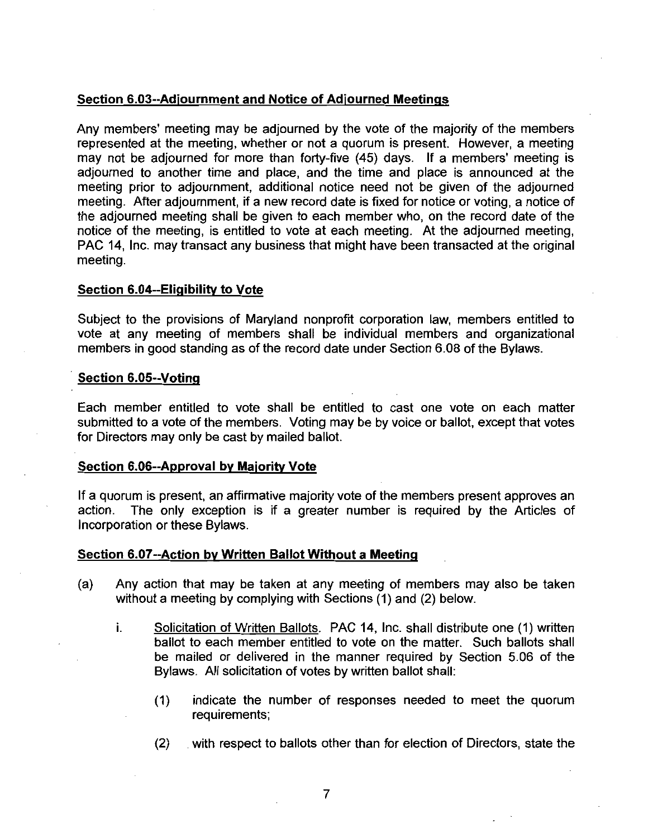Section 6.03--Adjournment and Notice of Adjourned Meetings<br>Any members' meeting may be adjourned by the vote of the mare<br>represented at the meeting, whether or not a quorum is present Any members' meeting may be adjourned by the vote of the majority of the members represented at the meeting, whether or not a quorum is present. However, a meeting may not be adjourned for more than forty-five (45) days. If a members' meeting is adjourned to another time and place, and the time and place is announced at the meeting prior to adjournment, additional notice need not be given of the adjourned meeting. After adjournment, if a new record date is fixed for notice or voting, a notice of the adjourned meeting shall be given to each member who, on the record date of the notice of the meeting, is entitled to vote at each meeting. At the adjourned meeting, PAC 14. Inc. may transact any business that might have been transacted at the original meeting adjourned to another time and<br>meeting prior to adjournment, a<br>meeting. After adjournment, if a<br>the adjourned meeting shall be<br>notice of the meeting, is entitled<br>PAC 14, Inc. may transact any b<br>meeting.<br>Section 6.04--Eligib

Subject to the provisions of Maryland nonprofit corporation law, members entitled to vote at any meeting of members shall be individual members and organizational Subject to the provisions of Maryland nonprofit corporation law, members entitividual vote at any meeting of members shall be individual members and organiza members in good standing as of the record date under Section 6.0 Section 6.04--Eligibi<br>Subject to the provis<br>vote at any meeting<br>members in good star<br>Section 6.05--Voting<br>Each member entitle

Each member entitled to vote shall be entitled to cast one vote on each matter submitted to a vote of the members. Voting may be by voice or ballot, except that votes for Directors may only be cast by mailed ballot Section 6.05--Voting<br>Each member entitled to vote shall be<br>submitted to a vote of the members. Votir<br>for Directors may only be cast by mailed b<br>Section 6.06--Approval by Majority Vote<br>If a quorum is present, an affirmative

If a quorum is present, an affirmative majority vote of the members present approves an action. The only exception is if a greater number is required by the Articles of The only exception is if a greater number is required by the Articles of Incorporation or these Bylaws Section 6.06--Approval by Majority Vote<br>If a quorum is present, an affirmative majority vote of the me<br>action. The only exception is if a greater number is r<br>Incorporation or these Bylaws.<br>Section 6.07--Action by Written B

- (a) Any action that may be taken at any meeting of members may also be taken without a meeting by complying with Sections  $(1)$  and  $(2)$  below.
	- i. Solicitation of Written Ballots. PAC 14, Inc. shall distribute one (1) written ballot to each member entitled to vote on the matter. Such ballots shall Solicitation of Wr<u>itten Ballots</u>. PAC 14, Inc. shall distribute one (1) written<br>ballot to each member entitled to vote on the matter. Such ballots shall<br>be mailed or delivered in the manner required by Section 5.06 of the Bylaws. All solicitation of votes by written ballot shall:
		- 1 indicate the number of responses needed to meet the quorum requirements
		- (2) with respect to ballots other than for election of Directors, state the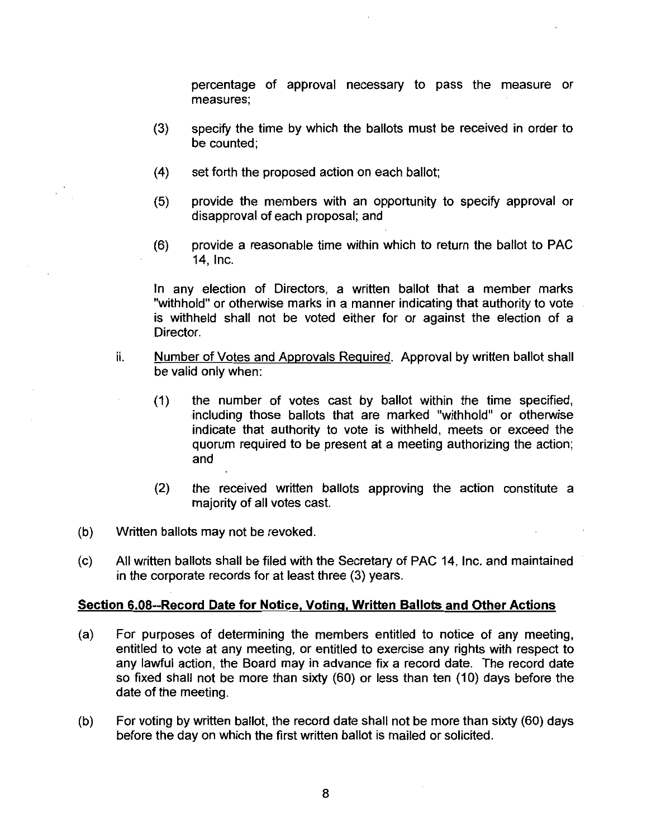percentage of approval necessary to pass the measure or measures

- 3 specify the time by which the ballots must be received in order to be counted:
- $(4)$  set forth the proposed action on each ballot;
- 5 provide the members with an opportunity to specify approval or disapproval of each proposal; and
- (6) provide a reasonable time within which to return the ballot to PAC 14. Inc.

In any election of Directors, a written ballot that a member marks "withhold" or otherwise marks in a manner indicating that authority to vote is withheld shall not be voted either for or against the election of <sup>a</sup> Director.

- ii. Number of Votes and Approvals Required. Approval by written ballot shall be valid only when
	- (1) the number of votes cast by ballot within the time specified, including those ballots that are marked "withhold" or otherwise indicate that authority to vote is withheld, meets or exceed the quorum required to be present at a meeting authorizing the action and
	- (2) the received written ballots approving the action constitute a majority of all votes cast
- (b) Written ballots may not be revoked.
- (c) All written ballots shall be filed with the Secretary of PAC 14, Inc. and maintained in the corporate records for at least three (3) years. majority of all votes cast.<br>
(b) Written ballots may not be revoked.<br>
(c) All written ballots shall be filed with the Secretary of PAC 14, Inc. and maintair<br>
in the corporate records for at least three (3) years.<br>
Section

- (a) For purposes of determining the members entitled to notice of any meeting, entitled to vote at any meeting, or entitled to exercise any rights with respect to any lawful action, the Board may in advance fix a record date. The record date so fixed shall not be more than sixty  $(60)$  or less than ten  $(10)$  days before the date of the meeting
- (b) For voting by written ballot, the record date shall not be more than sixty  $(60)$  days before the day on which the first written ballot is mailed or solicited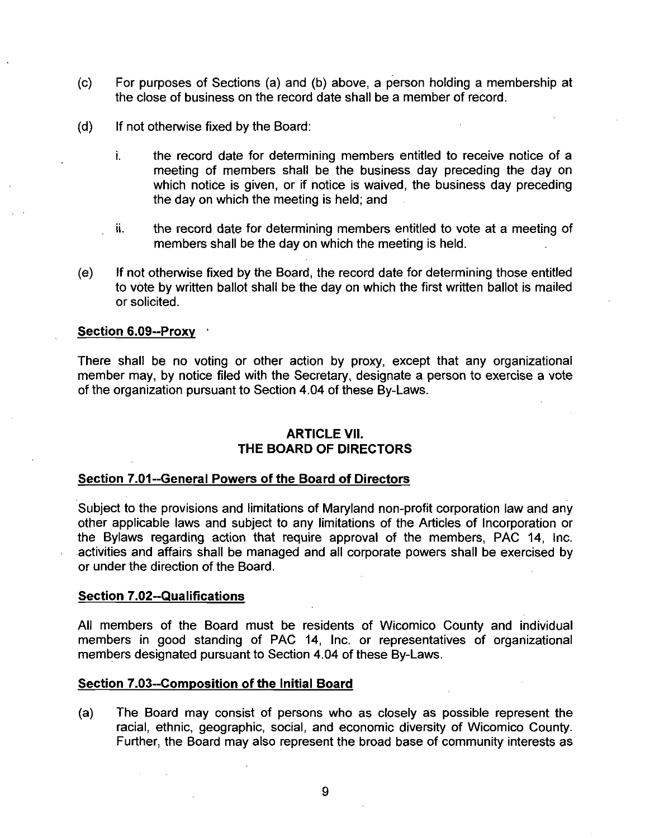- $(c)$  For purposes of Sections (a) and (b) above, a person holding a membership at the close of business on the record date shall be a member of record
- $(d)$  If not otherwise fixed by the Board:
	- i. the record date for determining members entitled to receive notice of a meeting of members shall be the business day preceding the day on which notice is given, or if notice is waived, the business day preceding the day on which the meeting is held; and
	- ii the record date for determining members entitled to vote at <sup>a</sup> meeting of members shall be the day on which the meeting is held
- $(e)$  If not otherwise fixed by the Board, the record date for determining those entitled to vote by written ballot shall be the day on which the first written ballot is mailed or solicited Thember<br>
(e) If not otherwis<br>
to vote by writ<br>
or solicited.<br>
Section 6.09--Proxy<br>
There shall be no

There shall be no voting or other action by proxy, except that any organizational member may, by notice filed with the Secretary, designate a person to exercise a vote There shall be no voting or other action by proxy, except<br>member may, by notice filed with the Secretary, designate a p<br>of the organization pursuant to Section 4.04 of these By-Laws. Friefe Shall be no volling of other action by ploxy, exception<br>member may, by notice filed with the Secretary, designate<br>of the organization pursuant to Section 4.04 of these By-La<br>**ARTICLE VII.**<br>THE BOARD OF DIRECTORS<br>Sec

# **ARTICLE VII.** THE BOARD OF DIRECTORS

Subject to the provisions and limitations of Maryland non-profit corporation law and any other applicable laws and subject to any limitations of the Articles of Incorporation or the Bylaws regarding action that require approval of the members, PAC 14, Inc. activities and affairs shall be managed and all corporate powers shall be exercised by or under the direction of the Board Section 7.01--General Powe<br>Subject to the provisions and<br>other applicable laws and su<br>the Bylaws regarding action<br>activities and affairs shall be<br>or under the direction of the E<br>Section 7.02--Qualifications<br>All members of other applicable laws and subject to any limitat<br>the Bylaws regarding action that require applicativities and affairs shall be managed and all o<br>or under the direction of the Board.<br>Section 7.02--Qualifications<br>All members

All members of the Board must be residents of Wicomico County and individual members in good standing of PAC 14 Inc or representatives of organizational All members of the Board must be residents of Wicomico<br>members in good standing of PAC 14, Inc. or representati<br>members designated pursuant to Section 4.04 of these By-Laws.

(a) The Board may consist of persons who as closely as possible represent the racial, ethnic, geographic, social, and economic diversity of Wicomico County. Further, the Board may also represent the broad base of community interests as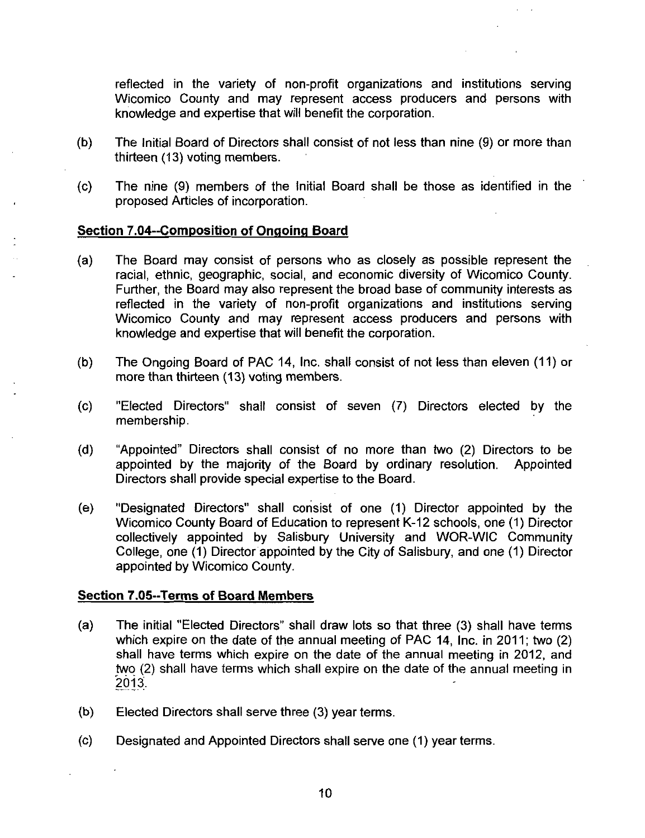reflected in the variety of non profit organizations and institutions serving Wicomico County and may represent access producers and persons with knowledge and expertise that will benefit the corporation reflected in the variety of non-profit<br>Wicomico County and may represent<br>knowledge and expertise that will benefit t<br>(b) The Initial Board of Directors shall consis<br>thirteen (13) voting members.<br>(c) The nine (9) members of

- (b) The Initial Board of Directors shall consist of not less than nine (9) or more than thirteen (13) voting members.
- $(c)$  The nine (9) members of the Initial Board shall be those as identified in the proposed Articles of incorporation

- (a) The Board may consist of persons who as closely as possible represent the racial, ethnic, geographic, social, and economic diversity of Wicomico County. Further, the Board may also represent the broad base of community interests as reflected in the variety of non profit organizations and institutions serving Wicomico County and may represent access producers and persons with knowledge and expertise that will benefit the corporation
- (b) The Ongoing Board of PAC 14, Inc. shall consist of not less than eleven (11) or more than thirteen (13) voting members.
- (c) "Elected Directors" shall consist of seven (7) Directors elected by the membership
- (d) "Appointed" Directors shall consist of no more than two (2) Directors to be appointed by the majority of the Board by ordinary resolution. Appointed appointed by the majority of the Board by ordinary resolution. Directors shall provide special expertise to the Board
- (e) "Designated Directors" shall consist of one (1) Director appointed by the Wicomico County Board of Education to represent K-12 schools, one (1) Director Wicomico County Board of Education to represent K-12 schools, one (1) Director collectively appointed by Salisbury University and WOR-WIC Community College, one (1) Director appointed by the City of Salisbury, and one (1) Director appointed by Wicomico County (e) "Designated Directors" shall con<br>
Wicomico County Board of Educati<br>
collectively appointed by Salisbi<br>
College, one (1) Director appointed<br>
appointed by Wicomico County.<br>
Section 7.05--Terms of Board Members<br>
(a) The i

- (a) The initial "Elected Directors" shall draw lots so that three (3) shall have terms which expire on the date of the annual meeting of PAC 14, Inc. in 2011; two  $(2)$ shall have terms which expire on the date of the annual meeting in 2012, and two (2) shall have terms which shall expire on the date of the annual meeting in 2013
- $(b)$  Elected Directors shall serve three  $(3)$  year terms.
- (c) Designated and Appointed Directors shall serve one (1) year terms.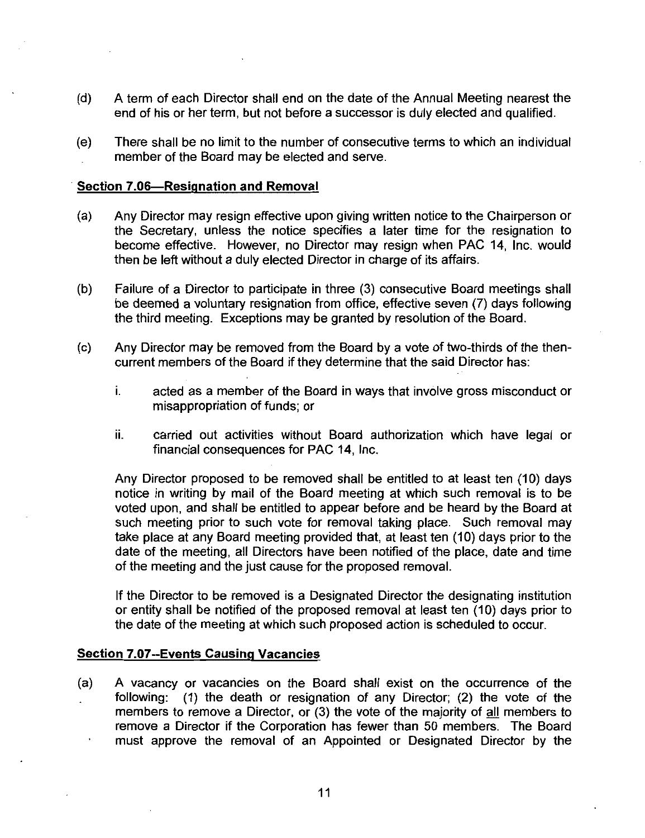- (d) A term of each Director shall end on the date of the Annual Meeting nearest the end of his or her term, but not before a successor is duly elected and qualified. (d) A term of each Director shall end or<br>end of his or her term, but not before<br>(e) There shall be no limit to the numbe<br>member of the Board may be electe<br>Section 7.06—Resignation and Removal<br>(a) Any Director may resign ef
- (e) There shall be no limit to the number of consecutive terms to which an individual member of the Board may be elected and serve

- (a) Any Director may resign effective upon giving written notice to the Chairperson or the Secretary, unless the notice specifies a later time for the resignation to become effective. However, no Director may resign when PAC 14, Inc. would then be left without <sup>a</sup> duly elected Director in charge of its affairs
- (b) Failure of a Director to participate in three (3) consecutive Board meetings shall be deemed a voluntary resignation from office, effective seven (7) days following the third meeting. Exceptions may be granted by resolution of the Board.
- $\sigma$  Any Director may be removed from the Board by a vote of two-thirds of the thencurrent members of the Board if they determine that the said Director has
	- i. acted as a member of the Board in ways that involve gross misconduct or misappropriation of funds: or
	- ii. carried out activities without Board authorization which have legal or financial consequences for PAC 14, Inc.

Any Director proposed to be removed shall be entitled to at least ten (10) days notice in writing by mail of the Board meeting at which such removal is to be voted upon, and shall be entitled to appear before and be heard by the Board at such meeting prior to such vote for removal taking place. Such removal may take place at any Board meeting provided that, at least ten (10) days prior to the date of the meeting, all Directors have been notified of the place, date and time of the meeting and the just cause for the proposed removal

If the Director to be removed is <sup>a</sup> Designated Director the designating institution or entity shall be notified of the proposed removal at least ten (10) days prior to the date of the meeting at which such proposed action is scheduled to occur date of the meeting, all Directors has<br>of the meeting and the just cause for<br>If the Director to be removed is a De<br>or entity shall be notified of the prop<br>the date of the meeting at which such<br>Section 7.07--Events Causing

(a) A vacancy or vacancies on the Board shall exist on the occurrence of the following:  $(1)$  the death or resignation of any Director;  $(2)$  the vote of the members to remove a Director, or (3) the vote of the maiority of all members to remove a Director if the Corporation has fewer than 50 members. The Board must approve the removal of an Appointed or Designated Director by the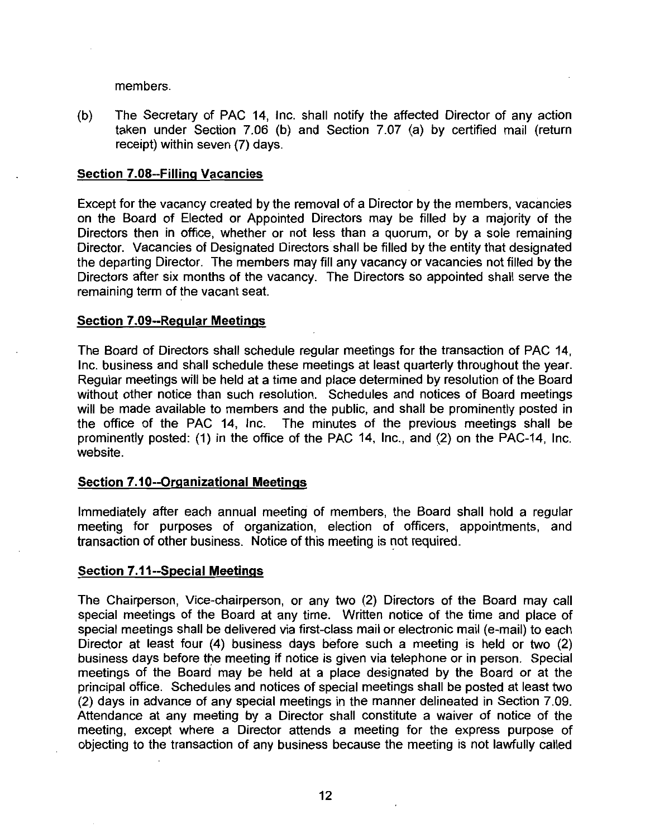members

(b) The Secretary of PAC 14, Inc. shall notify the affected Director of any action taken under Section 7.06 (b) and Section 7.07 (a) by certified mail (return receipt) within seven (7) days. members.<br>
(b) The Secretary of PAC 14<br>
taken under Section 7.04<br>
receipt) within seven (7) da<br>
Section 7.08--Filling Vacancies<br>
Fycent for the vacancy created b

Except for the vacancy created by the removal of a Director by the members vacancies on the Board of Elected or Appointed Directors may be filled by <sup>a</sup> majority of the Directors then in office, whether or not less than a quorum, or by a sole remaining Director. Vacancies of Designated Directors shall be filled by the entity that designated the departing Director. The members may fill any vacancy or vacancies not filled by the Directors after six months of the vacancy. The Directors so appointed shall serve the remaining term of the vacant seat on the Board of Elected or App<br>Directors then in office, whether<br>Director. Vacancies of Designate<br>the departing Director. The mem<br>Directors after six months of the<br>remaining term of the vacant seat<br>Section 7.09--Regular Me

The Board of Directors shall schedule regular meetings for the transaction of PAC 14 Inc, business and shall schedule these meetings at least quarterly throughout the year. Regular meetings will be held at <sup>a</sup> time and place determined by resolution of the Board without other notice than such resolution. Schedules and notices of Board meetings will be made available to members and the public, and shall be prominently posted in the office of the PAC 14, Inc. The minutes of the previous meetings shall be prominently posted: (1) in the office of the PAC 14, Inc., and (2) on the PAC-14. Inc. website. Section 7.09--Regular Meetings<br>The Board of Directors shall schedule relinc. business and shall schedule these r<br>Regular meetings will be held at a time a<br>without other notice than such resolutio<br>will be made available to

Immediately after each annual meeting of members, the Board shall hold a regular meeting for purposes of organization, election of officers, appointments, and transaction of other business. Notice of this meeting is not required. Section 7.10--Organizational M<br>Immediately after each annual<br>meeting for purposes of org<br>transaction of other business. No<br>Section 7.11--Special Meetings<br>The Chairperson, Vice-chairpers

Section 7.11--Special Meetings<br>The Chairperson, Vice-chairperson, or any two (2) Directors of the Board may call special meetings of the Board at any time. Written notice of the time and place of The Chairperson, Vice-chairperson, or any two (2) Directors of the Board may call<br>special meetings of the Board at any time. Written notice of the time and place of<br>special meetings shall be delivered via first-class mail special meetings shall be delivered via first-class mail or electronic mail (e-mail) to each<br>Director at least four (4) business days before such a meeting is held or two (2) business days before the meeting if notice is given via telephone or in person. Special meetings of the Board may be held at <sup>a</sup> place designated by the Board or at the principal office. Schedules and notices of special meetings shall be posted at least two meetings of the Board may be held at a place designated by the Board or at the principal office. Schedules and notices of special meetings shall be posted at least two (2) days in advance of any special meetings in the man Attendance at any meeting by <sup>a</sup> Director shall constitute <sup>a</sup> waiver of notice of the meeting except where <sup>a</sup> Director attends <sup>a</sup> meeting for the express purpose of objecting to the transaction of any business because the meeting is not lawfully called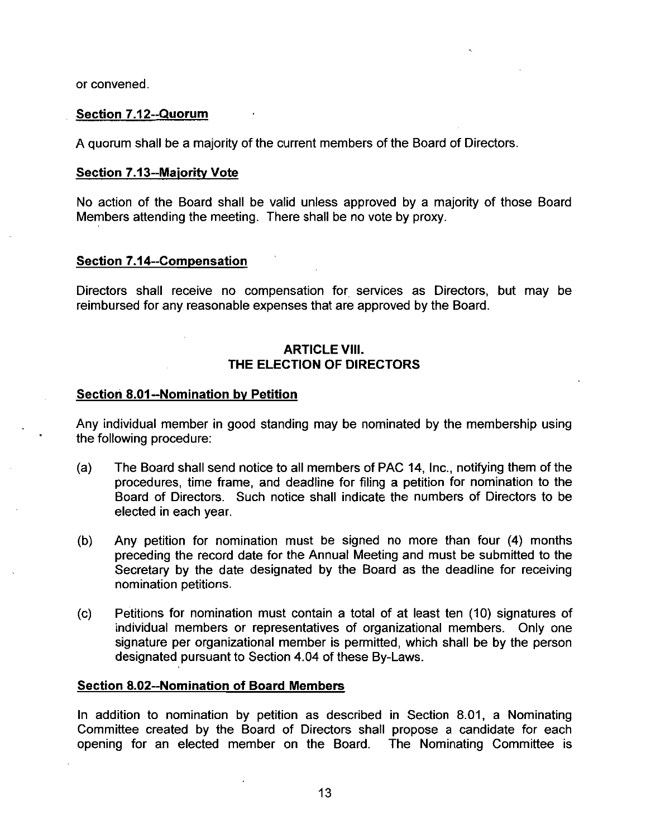or convened

# or convened.<br><u>Section 7.12--Quorum</u><br>A quorum shall be a ma

A quorum shall be a majority of the current members of the Board of Directors

or convened.<br><u>Section 7.12--Quorum</u><br>A quorum shall be a majority<br>Section 7.13--Majority Vote<br>No action of the Board sha No action of the Board shall be valid unless approved by <sup>a</sup> majority of those Board Members attending the meeting. There shall be no vote by proxy. or convened.<br>
Section 7.12--Quorum<br>
A quorum shall be a majority of t<br>
Section 7.13--Majority Vote<br>
No action of the Board shall be<br>
Members attending the meeting.<br>
Section 7.14--Compensation<br>
Directors shall receive no co

Directors shall receive no compensation for services as Directors, but may be reimbursed for any reasonable expenses that are approved by the Board

# **ARTICLE VIII.** THE ELECTION OF DIRECTORS

Section 7.14--Compensation<br>Directors shall receive no compens<br>reimbursed for any reasonable expense<br>AF<br>THE ELECT<br>Section 8.01--Nomination by Petition<br>Any individual member in good standit<br>the following procedure: Any individual member in good standing may be nominated by the membership using the following procedure

- (a) The Board shall send notice to all members of PAC 14, Inc., notifying them of the procedures, time frame, and deadline for filing a petition for nomination to the Board of Directors. Such notice shall indicate the numbers of Directors to be elected in each year
- (b) Any petition for nomination must be signed no more than four  $(4)$  months preceding the record date for the Annual Meeting and must be submitted to the Secretary by the date designated by the Board as the deadline for receiving nomination petitions
- $(c)$  Petitions for nomination must contain a total of at least ten  $(10)$  signatures of individual members or representatives of organizational members. Only one signature per organizational member is permitted, which shall be by the person individual members or representatives of organizatio<br>signature per organizational member is permitted, whi<br>designated pursuant to Section 4.04 of these By-Laws. (b) Any petition for nomination must be spreceding the record date for the Annua Secretary by the date designated by the nomination petitions.<br>
(c) Petitions for nomination must contain a individual members or representati

Section 8.02--Nomination of Board Members<br>In addition to nomination by petition as described in Section 8.01, a Nominating Committee created by the Board of Directors shall propose <sup>a</sup> candidate for each opening for an elected member on the Board. The Nominating Committee is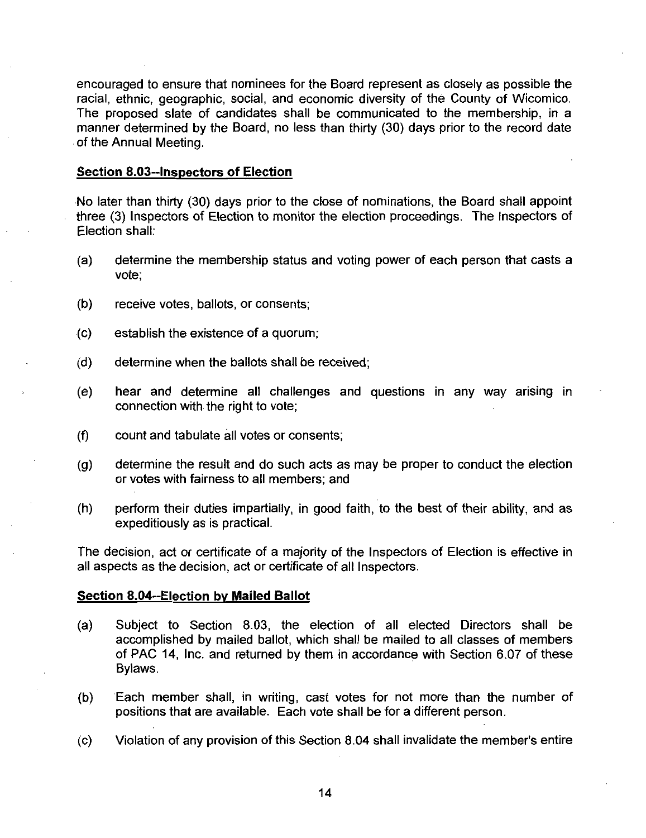encouraged to ensure that nominees for the Board represent as closely as possible the racial, ethnic, geographic, social, and economic diversity of the County of Wicomico. The proposed slate of candidates shall be communicated to the membership, in a manner determined by the Board, no less than thirty (30) days prior to the record date of the Annual Meeting encouraged to ensure that nominees<br>racial, ethnic, geographic, social, and<br>The proposed slate of candidates s<br>manner determined by the Board, no<br>of the Annual Meeting.<br>Section 8.03--Inspectors of Election<br>No later than thi

No later than thirty (30) days prior to the close of nominations, the Board shall appoint three (3) Inspectors of Election to monitor the election proceedings. The Inspectors of Election shall

- (a) determine the membership status and voting power of each person that casts a vote
- $(b)$  receive votes, ballots, or consents;
- $(c)$  establish the existence of a quorum;
- $(d)$  determine when the ballots shall be received:
- (e) hear and determine all challenges and questions in any way arising in connection with the right to vote
- $(f)$  count and tabulate all votes or consents;
- $(g)$  determine the result and do such acts as may be proper to conduct the election or votes with fairness to all members; and
- $(h)$  perform their duties impartially, in good faith, to the best of their ability, and as expeditiously as is practical or votes with fairness to all membe<br>
(h) perform their duties impartially, in<br>
expeditiously as is practical.<br>
The decision, act or certificate of a majo<br>
all aspects as the decision, act or certificate<br>
Section 8.04--Elec

The decision act or certificate of <sup>a</sup> majority of the Inspectors of Election is effective in all aspects as the decision, act or certificate of all Inspectors.

- Section 8.04--Election by Mailed Ballot<br>(a) Subject to Section 8.03, the election of all elected Directors shall be accomplished by mailed ballot, which shall be mailed to all classes of members Subject to Section 8.03, the election of all elected Directors shall be<br>accomplished by mailed ballot, which shall be mailed to all classes of members<br>of PAC 14, Inc. and returned by them in accordance with Section 6.07 of Bylaws
- (b) Each member shall, in writing, cast votes for not more than the number of positions that are available. Each vote shall be for a different person.
- (c) Violation of any provision of this Section 8.04 shall invalidate the member's entire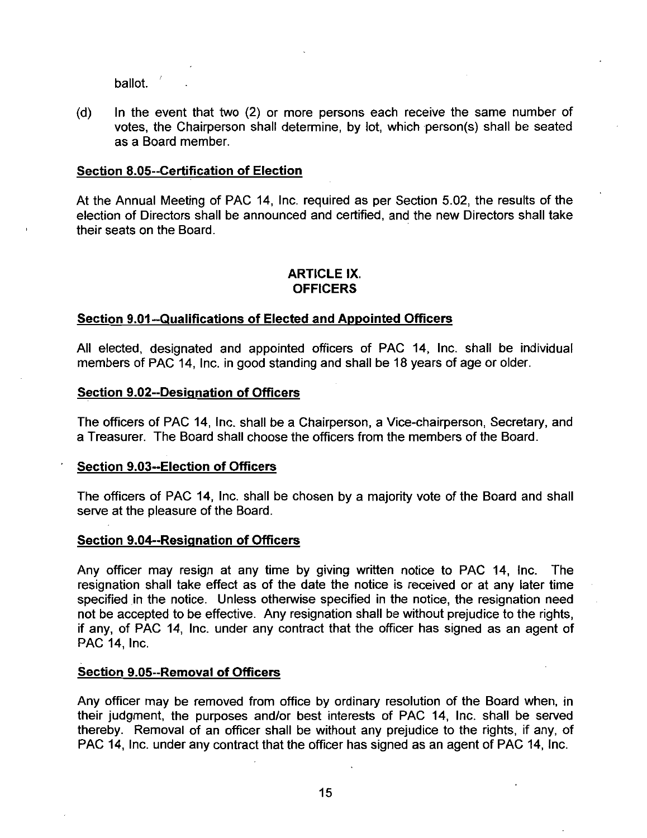ballot.  $\sqrt{ }$ 

(d) In the event that two  $(2)$  or more persons each receive the same number of votes, the Chairperson shall determine, by lot, which person(s) shall be seated as a Board member ballot.<br>
(d) In the event that two (2) or mo<br>
votes, the Chairperson shall det<br>
as a Board member.<br>
Section 8.05--Certification of Election<br>
At the Annual Meeting of PAC 14, Inc.<br>
election of Directors shall be announce

Section 8.05--Certification of Election<br>At the Annual Meeting of PAC 14, Inc. required as per Section 5.02, the results of the election of Directors shall be announced and certified, and the new Directors shall take their seats on the Board Section 8.05--Certification of Election<br>
At the Annual Meeting of PAC 14, Inc. required as per Section 5.<br>
election of Directors shall be announced and certified, and the net<br>
their seats on the Board.<br> **ARTICLE IX.**<br> **OFF** 

# ARTICLE IX **OFFICERS**

All elected, designated and appointed officers of PAC 14, Inc. shall be individual members of PAC 14, Inc. in good standing and shall be 18 years of age or older. All<br>
Section 9.01--Qualifications of Electe<br>
All elected, designated and appointe<br>
members of PAC 14, Inc. in good stand<br>
Section 9.02--Designation of Officers<br>
The officers of PAC 14, Inc. shall be a<br>
a Treasurer. The Boa

Section 9.02--Designation of Officers<br>The officers of PAC 14, Inc. shall be a Chairperson, a Vice-chairperson, Secretary, and a Treasurer. The Board shall choose the officers from the members of the Board. All elected, designated and appomembers of PAC 14, Inc. in good s<br>
Section 9.02--Designation of Officers<br>
The officers of PAC 14, Inc. shall b<br>
a Treasurer. The Board shall choos<br>
Section 9.03--Election of Officers<br>
The of The officers of PAC 14, Inc. shall be a<br>a Treasurer. The Board shall choose the<br>Section 9.03--Election of Officers<br>The officers of PAC 14, Inc. shall be c<br>serve at the pleasure of the Board.<br>Section 9.04--Resignation of Of

The officers of PAC 14, Inc. shall be chosen by a majority vote of the Board and shall serve at the pleasure of the Board.

Any officer may resign at any time by giving written notice to PAC 14, Inc. The resignation shall take effect as of the date the notice is received or at any later time specified in the notice. Unless otherwise specified in the notice, the resignation need not be accepted to be effective. Any resignation shall be without prejudice to the rights, if any, of PAC 14, Inc. under any contract that the officer has signed as an agent of PAC 14, Inc. Any officer may resign at any tim<br>resignation shall take effect as of t<br>specified in the notice. Unless oth<br>not be accepted to be effective. An<br>if any, of PAC 14, Inc. under any<br>PAC 14, Inc.<br>Section 9.05--Removal of Office

Any officer may be removed from office by ordinary resolution of the Board when, in their judgment, the purposes and/or best interests of PAC 14, Inc. shall be served thereby. Removal of an officer shall be without any prejudice to the rights, if any, of PAC 14, Inc. under any contract that the officer has signed as an agent of PAC 14. Inc.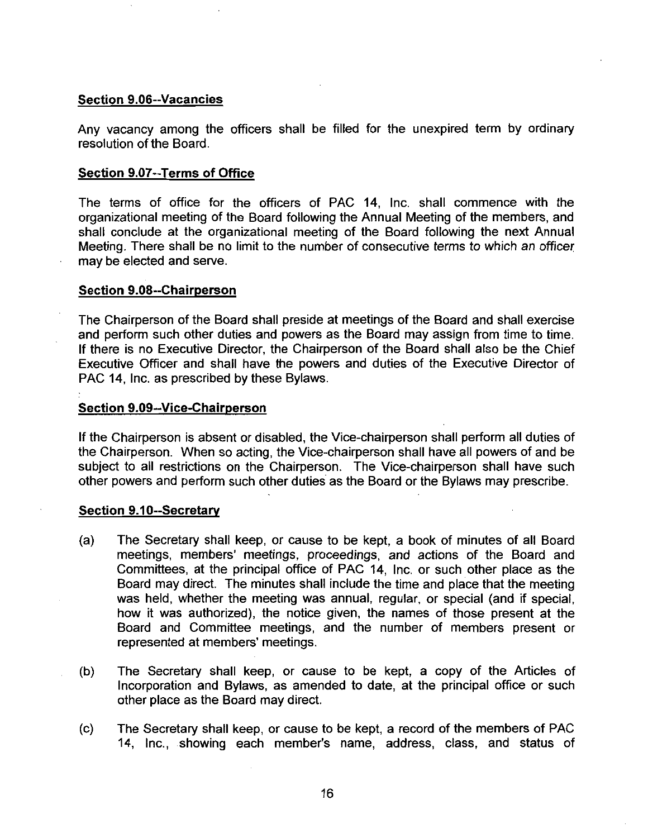**Section 9.06--Vacancies<br>Any vacancy among the<br>resolution of the Board** Any vacancy among the officers shall be filled for the unexpired term by ordinary resolution of the Board Section 9.06--Vacancies<br>Any vacancy among the offic<br>resolution of the Board.<br>Section 9.07--Terms of Office<br>The terms of office for the

The terms of office for the officers of PAC 14, Inc. shall commence with the organizational meeting of the Board following the Annual Meeting of the members and shall conclude at the organizational meeting of the Board following the next Annual Meeting. There shall be no limit to the number of consecutive terms to which an officer may be elected and serve Section 9.07--Terms of Off<br>The terms of office for<br>organizational meeting of the<br>shall conclude at the orga<br>Meeting. There shall be no<br>may be elected and serve.<br>Section 9.08--Chairperson<br>The Chairperson of the Boa<br>and perf

The Chairperson of the Board shall preside at meetings of the Board and shall exercise and perform such other duties and powers as the Board may assign from time to time. If there is no Executive Director, the Chairperson of the Board shall also be the Chief Executive Officer and shall have the powers and duties of the Executive Director of PAC 14, Inc. as prescribed by these Bylaws. shall conclude at the organizatic<br>Meeting. There shall be no limit to<br>may be elected and serve.<br>Section 9.08--Chairperson<br>The Chairperson of the Board sha<br>and perform such other duties and<br>If there is no Executive Director

Section 9.09--Vice-Chairperson<br>If the Chairperson is absent or disabled, the Vice-chairperson shall perform all duties of<br>the Chairperson – When so acting the Vice-chairperson shall have all powers of and be If the Chairperson is absent or disabled, the Vice-chairperson shall perform all duties of the Chairperson. When so acting, the Vice-chairperson shall have all powers of and be subject to all restrictions on the Chairperso the Chairperson. When so acting, the Vice-chairperson shall have all powers of and be subject to all restrictions on the Chairperson. The Vice-chairperson shall have such other powers and perform such other duties as the Board or the Bylaws may prescribe Section 9.09--Vice-Chain<br>If the Chairperson is abset<br>the Chairperson. When<br>subject to all restrictions<br>other powers and perform<br>Section 9.10--Secretary<br>(a) The Secretary shapper

- (a) The Secretary shall keep, or cause to be kept, a book of minutes of all Board meetings, members' meetings, proceedings, and actions of the Board and Committees, at the principal office of PAC 14, Inc. or such other place as the Board may direct. The minutes shall include the time and place that the meeting was held, whether the meeting was annual, regular, or special (and if special, how it was authorized), the notice given, the names of those present at the Board and Committee meetings, and the number of members present or represented at members' meetings.
- (b) The Secretary shall keep, or cause to be kept, a copy of the Articles of Incorporation and Bylaws, as amended to date, at the principal office or such other place as the Board may direct The Secretary shall keep, or cause to be kept, a copy of the Articles of Incorporation and Bylaws, as amended to date, at the principal office or such other place as the Board may direct.<br>The Secretary shall keep, or cause
- (c) The Secretary shall keep, or cause to be kept, a record of the members of PAC<br>14. Inc., showing each member's name, address, class, and status of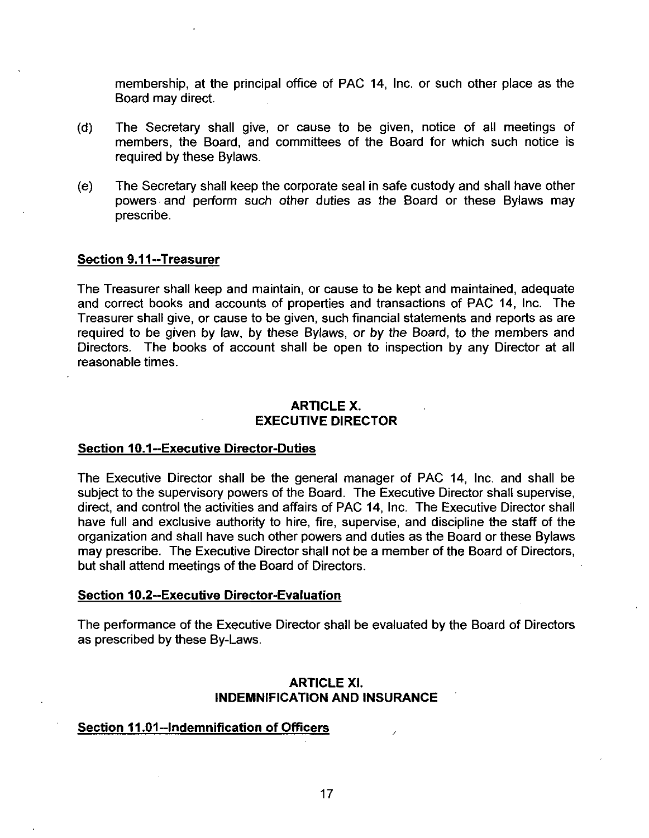membership, at the principal office of PAC 14, Inc. or such other place as the Board may direct

- (d) The Secretary shall give, or cause to be given, notice of all meetings of members, the Board, and committees of the Board for which such notice is required by these Bylaws
- e The Secretary shall keep the corporate seal in safe custody and shall have other powers and perform such other duties as the Board or these Bylaws may prescribe (d) The Secretary sha<br>
members, the Boar<br>
required by these By<br>
(e) The Secretary shall<br>
powers and perform<br>
prescribe.<br>
Section 9.11--Treasurer<br>
The Treasurer shall keep and correct books and act

The Treasurer shall keep and maintain, or cause to be kept and maintained, adequate and correct books and accounts of properties and transactions of PAC 14, Inc. The Treasurer shall give, or cause to be given, such financial statements and reports as are required to be given by law, by these Bylaws, or by the Board, to the members and Directors. The books of account shall be open to inspection by any Director at all reasonable times

# ARTICLE X EXECUTIVE DIRECTOR

# Section 10.1--Executive Director-Duties

The Executive Director shall be the general manager of PAC 14 Inc and shall be subject to the supervisory powers of the Board. The Executive Director shall supervise, direct, and control the activities and affairs of PAC 14, Inc. The Executive Director shall have full and exclusive authority to hire, fire, supervise, and discipline the staff of the organization and shall have such other powers and duties as the Board or these Bylaws may prescribe. The Executive Director shall not be a member of the Board of Directors, but shall attend meetings of the Board of Directors The Executive Director shall be the general<br>subject to the supervisory powers of the Board<br>direct, and control the activities and affairs of F<br>have full and exclusive authority to hire, fire,<br>organization and shall have su

The performance of the Executive Director shall be evaluated by the Board of Directors<br>as prescribed by these By-Laws. as prescribed by these By-Laws.<br>ARTICI<br>INDEMNIFICATION<br>Section 11.01--Indemnification of Officers

# ARTICLE XI INDEMNIFICATION AND INSURANCE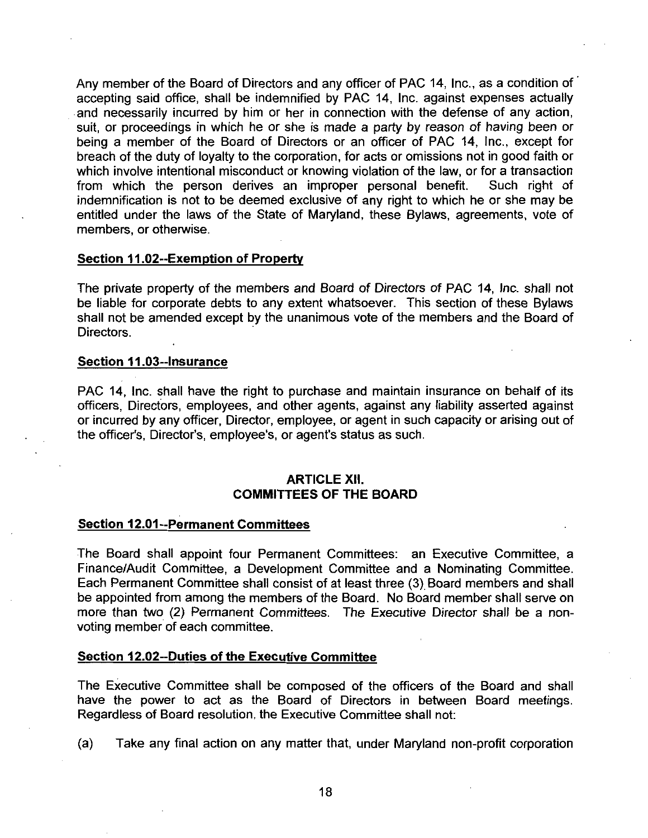Any member of the Board of Directors and any officer of PAC 14, Inc., as a condition of accepting said office shall be indemnified by PAC 14 Inc against expenses actually and necessarily incurred by him or her in connection with the defense of any action suit, or proceedings in which he or she is made a party by reason of having been or being a member of the Board of Directors or an officer of PAC 14, Inc., except for breach of the duty of loyalty to the corporation, for acts or omissions not in good faith or which involve intentional misconduct or knowing violation of the law, or for a transaction<br>from which the person derives an improper personal benefit. Such right of from which the person derives an improper personal benefit. indemnification is not to be deemed exclusive of any right to which he or she may be entitled under the laws of the State of Maryland, these Bylaws, agreements, vote of members, or otherwise.<br>Section 11.02-Exemption of Pro entitled under the laws of the State of Maryland, these Bylaws, agreements, vote of members, or otherwise.

The private property of the members and Board of Directors of PAC 14 lnc shall not the property of the members and board of birectors of 1770 74, *ms.* sharehove<br>be liable for corporate debts to any extent whatsoever. This section of these Bylaws<br>shall not be amended except by the unanimous vote of the m shall not be amended except by the unanimous vote of the members and the Board of Directors.

PAC 14, Inc. shall have the right to purchase and maintain insurance on behalf of its officers, Directors, employees, and other agents, against any liability asserted against or incurred by any officer, Director, employee, or agent in such capacity or arising out of the officer's, Director's, employee's, or agent's status as such. Section 11.03-Insurance<br>
PAC 14, Inc. shall have the right to purchase and maintain<br>
officers, Directors, employees, and other agents, against an<br>
or incurred by any officer, Director, employee, or agent in suc<br>
the office

# ARTICLE XII COMMITTEES OF THE BOARD

## Section 12.01--Permanent Committees

The Board shall appoint four Permanent Committees an Executive Committee <sup>a</sup> Finance/Audit Committee, a Development Committee and a Nominating Committee. Each Permanent Committee shall consist of at least three (3) Board members and shall be appointed from among the members of the Board. No Board member shall serve on be appointed from among the hieribers of the Board. No Board member shall serve on<br>more than two (2) Permanent Committees. The Executive Director shall be a non-<br>voting member of each committee.<br>Section 12.02--Duties of th voting member of each committee

The Executive Committee shall be composed of the officers of the Board and shall have the power to act as the Board of Directors in between Board meetings Regardless of Board resolution, the Executive Committee shall not:

(a) Take any final action on any matter that, under Maryland non-profit corporation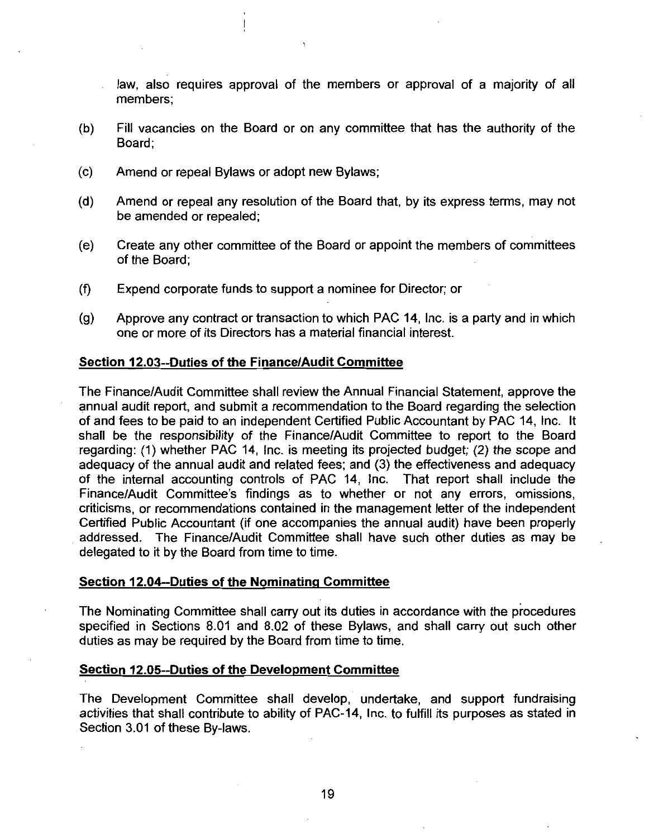law, also requires approval of the members or approval of a majority of all members

- b Fill vacancies on the Board or on any committee that has the authority of the Board:
- (c) Amend or repeal Bylaws or adopt new Bylaws;
- $(d)$  Amend or repeal any resolution of the Board that, by its express terms, may not be amended or repealed
- (e) Create any other committee of the Board or appoint the members of committees of the Board
- $f$  Expend corporate funds to support a nominee for Director; or
- $(g)$  Approve any contract or transaction to which PAC 14, Inc. is a party and in which one or more of its Directors has <sup>a</sup> material financial interest

## Section 12.03--Duties of the Finance/Audit Committee

The Finance/Audit Committee shall review the Annual Financial Statement, approve the annual audit report, and submit a recommendation to the Board regarding the selection of and fees to be paid to an independent Certified Public Accountant by PAC 14, Inc. It shall be the responsibility of the Finance/Audit Committee to report to the Board regarding: (1) whether PAC 14, Inc. is meeting its projected budget; (2) the scope and regarding. (1) whener PAC 14, first is meeting its projected budget,  $(2)$  are scope and adequacy adequacy and adequacy of the internal accounting controls of PAC 14, Inc. That report shall include the Finance/Audit Committee's findings as to whether or not any errors, omissions, Finance/Audit Committee shall review the Annual Financial Statement, approve the annual audit report, and submit a recommendation to the Board regarding the selection of and fees to be paid to an independent Certified Publ criticisms, or recommendations contained in the management letter of the independent Certified Public Accountant (if one accompanies the annual audit) have been properly Certified Public Accountant (if one accompanies the annual audit) have been properly<br>addressed. The Finance/Audit Committee shall have such other duties as may be delegated to it by the Board from time to time Section 12.04--Duties of the Nominating Committee shall have<br>Section 12.04--Duties of the Nominating Committee

The Nominating Committee shall carry out its duties in accordance with the procedures The Nominating Committee shall carry out its duties in accordance with the procedures<br>specified in Sections 8.01 and 8.02 of these Bylaws, and shall carry out such other duties as may be required by the Board from time to time. specified in Sections 8.01 and 8.02 of these Bylaws, and<br>duties as may be required by the Board from time to time<br>Section 12.05--Duties of the Development Committee

The Development Committee shall develop, undertake, and support fundraising<br>activities that shall contribute to ability of PAC-14, Inc. to fulfill its purposes as stated in activities that shall contribute to ability of PAC-14, Inc. to fulfill its purposes as stated in Section 3.01 of these By-laws.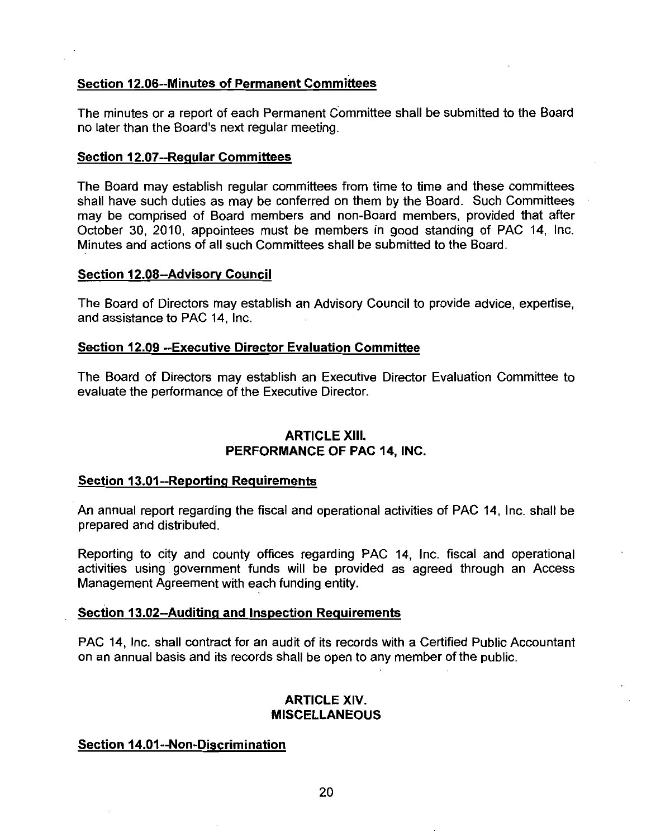# **Section 12.06--Minutes of Permanent Committees**

The minutes or <sup>a</sup> report of each Permanent Committee shall be submitted to the Board Section 12.06--Minutes o<u>f Permanent Comr</u><br>The minutes or a report of each Permanent C<br>no later than the Board's next regular meeting The minutes or a report of each Perm<br>no later than the Board's next regular<br>Section 12.07--Regular Committees

The Board may establish regular committees from time to time and these committees shall have such duties as may be conferred on them by the Board. Such Committees shall have such duties as may be conferred on them by the Board. Such Committees may be comprised of Board members and non-Board members, provided that after October 30, 2010, appointees must be members in good standing of PAC 14, Inc. Minutes and actions of all such Committees shall be submitted to the Board may be comprised of Board mer<br>October 30, 2010, appointees m<br>Minutes and actions of all such Co<br>Section 12.08--Advisory Council

The Board of Directors may establish an Advisory Council to provide advice, expertise, and assistance to PAC 14 Inc

# Section 12.09 --Executive Director Evaluation Committee

The Board of Directors may establish an Executive Director Evaluation Committee to evaluate the performance of the Executive Director

# **ARTICLE XIII.** PERFORMANCE OF PAC 14. INC.

# Section 13.01--Reporting Requirements

An annual report regarding the fiscal and operational activities of PAC 14 Inc shall be prepared and distributed

Reporting to city and county offices regarding PAC 14 Inc fiscal and operational Reporting to ony and boardy ontoo regarding through the transmit activities using government funds will be provided as agreed through an Access<br>Management Agreement with each funding entity.<br>Section 13.02--Auditing and Ins Management Agreement with each funding entity

PAC 14, Inc. shall contract for an audit of its records with a Certified Public Accountant on an annual basis and its records shall be open to any member of the public PAC 14, Inc. shall contract for an audit<br>on an annual basis and its records shall<br>**AR**<br>Section 14.01--Non-Discrimination

# ARTICLE XIV **MISCELLANEOUS**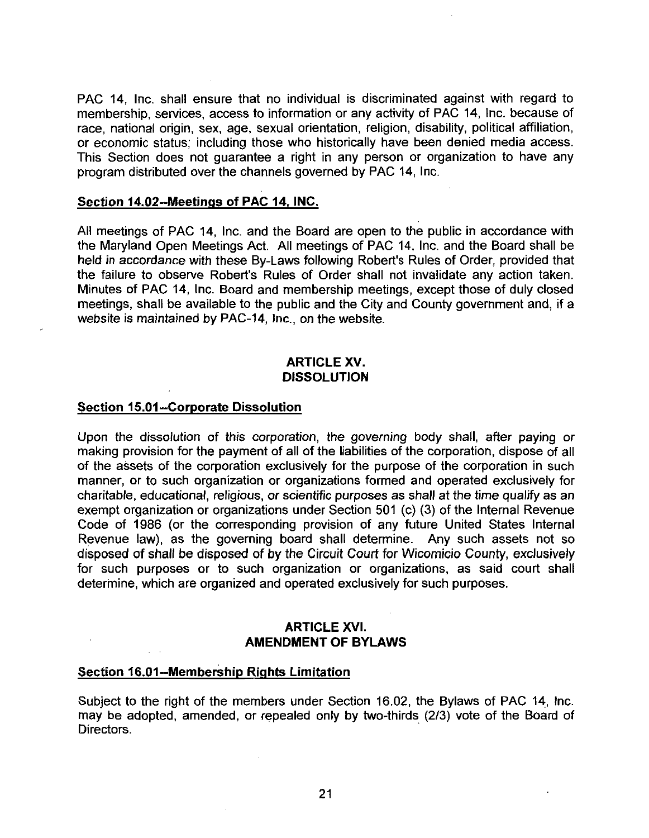PAC 14. Inc. shall ensure that no individual is discriminated against with regard to membership, services, access to information or any activity of PAC 14, Inc. because of race, national origin, sex, age, sexual orientation, religion, disability, political affiliation, or economic status; including those who historically have been denied media access. or economic status; including those who historically have been denied media access.<br>This Section does not guarantee a right in any person or organization to have any<br>program distributed over the channels governed by PAC 14 program distributed over the channels governed by PAC 14 Inc

All meetings of PAC 14, Inc. and the Board are open to the public in accordance with the Maryland Open Meetings Act. All meetings of PAC 14, Inc. and the Board shall be Section 14.02--Meetings of PAC 14, INC.<br>All meetings of PAC 14, Inc. and the Board are open to the public in accordance with<br>the Maryland Open Meetings Act. All meetings of PAC 14, Inc. and the Board shall be<br>held in accor All meetings of PAC 14, Inc. and the Board are open to the public in accordance with<br>the Maryland Open Meetings Act. All meetings of PAC 14, Inc. and the Board shall be<br>held in accordance with these By-Laws following Rober Minutes of PAC 14, Inc. Board and membership meetings, except those of duly closed meetings, shall be available to the public and the City and County government and, if a website is maintained by PAC-14, Inc., on the website.

# ARTICLE XV DISSOLUTION

## Section 15.01--Corporate Dissolution

Upon the dissolution of this corporation, the governing body shall, after paying or making provision for the payment of all of the liabilities of the corporation, dispose of all of the assets of the corporation exclusively for the purpose of the corporation in such manner, or to such organization or organizations formed and operated exclusively for charitable, educational, religious, or scientific purposes as shall at the time qualify as an exempt organization or organizations under Section 501 (c) (3) of the Internal Revenue Code of 1986 (or the corresponding provision of any future United States Internal Revenue law), as the governing board shall determine. Any such assets not so disposed of shall be disposed of by the Circuit Court for Wicomicio County exclusively for such purposes or to such organization or organizations, as said court shall determine, which are organized and operated exclusively for such purposes.

# ARTICLE XVI AMENDMENT OF BYLAWS

## Section 16.01-Membership Rights Limitation

Subject to the right of the members under Section 16.02, the Bylaws of PAC 14, Inc. may be adopted, amended, or repealed only by two-thirds (2/3) vote of the Board of Directors.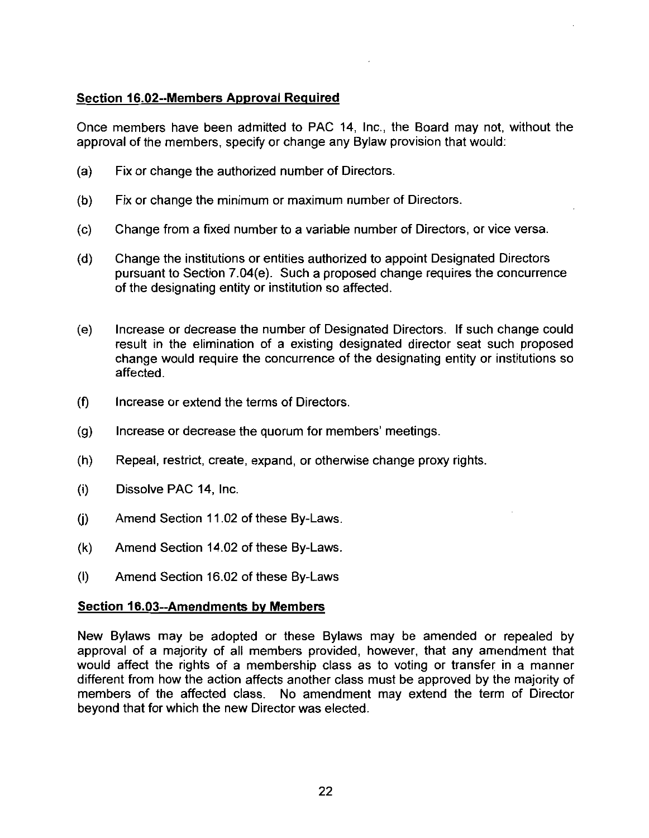# Section 16.02--Members Approval Required

Once members have been admitted to PAC 14, Inc., the Board may not, without the approval of the members, specify or change any Bylaw provision that would:

- $(a)$  Fix or change the authorized number of Directors.
- $(b)$  Fix or change the minimum or maximum number of Directors.
- $(c)$  Change from a fixed number to a variable number of Directors, or vice versa.
- (d) Change the institutions or entities authorized to appoint Designated Directors Change from a fixed number to a variable number of Directors, or vice versa.<br>Change the institutions or entities authorized to appoint Designated Directors<br>pursuant to Section 7.04(e). Such a proposed change requires the c of the designating entity or institution so affected
- (e) Increase or decrease the number of Designated Directors. If such change could result in the elimination of <sup>a</sup> existing designated director seat such proposed change would require the concurrence of the designating entity or institutions so affected
- $(f)$  Increase or extend the terms of Directors.
- $(g)$  Increase or decrease the quorum for members' meetings.
- $(h)$  Repeal, restrict, create, expand, or otherwise change proxy rights.
- $(i)$  Dissolve PAC 14, Inc.
- $(i)$  Amend Section 11.02 of these By-Laws.
- $(k)$  Amend Section 14.02 of these By-Laws. (k) Amend Section 11.02 of these By-La<br>
(l) Amend Section 16.02 of these By-La<br>
Section 16.03--Amendments by Members<br>
New Bylaws may be adopted or these
- $I()$  Amend Section 16.02 of these By-Laws

New Bylaws may be adopted or these Bylaws may be amended or repealed by approval of a majority of all members provided, however, that any amendment that would affect the rights of <sup>a</sup> membership class as to voting or transfer in <sup>a</sup> manner different from how the action affects another class must be approved by the majority of members of the affected class. No amendment may extend the term of Director No amendment may extend the term of Director beyond that for which the new Director was elected